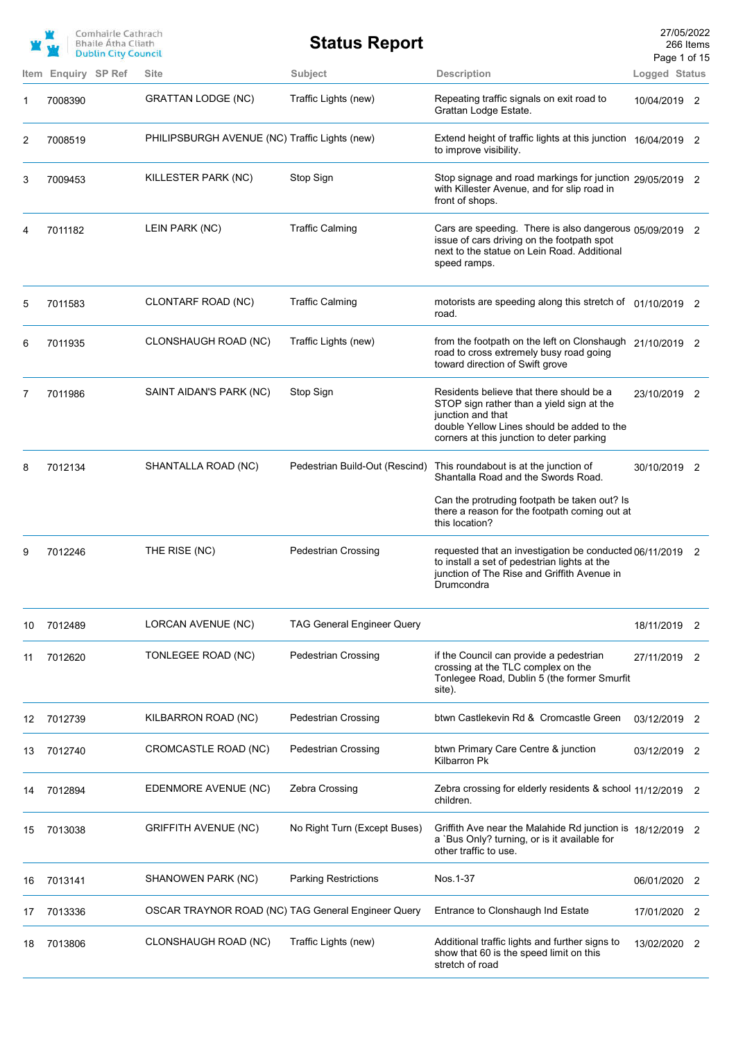|    |                     | Comhairle Cathrach<br><b>Bhaile Atha Cliath</b><br><b>Dublin City Council</b> |                                                    | <b>Status Report</b>              |                                                                                                                                                                                                       | 27/05/2022<br>Page 1 of 15 | 266 Items      |
|----|---------------------|-------------------------------------------------------------------------------|----------------------------------------------------|-----------------------------------|-------------------------------------------------------------------------------------------------------------------------------------------------------------------------------------------------------|----------------------------|----------------|
|    | Item Enquiry SP Ref |                                                                               | <b>Site</b>                                        | Subject                           | <b>Description</b>                                                                                                                                                                                    | Logged Status              |                |
| 1  | 7008390             |                                                                               | <b>GRATTAN LODGE (NC)</b>                          | Traffic Lights (new)              | Repeating traffic signals on exit road to<br>Grattan Lodge Estate.                                                                                                                                    | 10/04/2019 2               |                |
| 2  | 7008519             |                                                                               | PHILIPSBURGH AVENUE (NC) Traffic Lights (new)      |                                   | Extend height of traffic lights at this junction 16/04/2019 2<br>to improve visibility.                                                                                                               |                            |                |
| 3  | 7009453             |                                                                               | KILLESTER PARK (NC)                                | Stop Sign                         | Stop signage and road markings for junction 29/05/2019 2<br>with Killester Avenue, and for slip road in<br>front of shops.                                                                            |                            |                |
| 4  | 7011182             |                                                                               | LEIN PARK (NC)                                     | <b>Traffic Calming</b>            | Cars are speeding. There is also dangerous 05/09/2019 2<br>issue of cars driving on the footpath spot<br>next to the statue on Lein Road. Additional<br>speed ramps.                                  |                            |                |
| 5  | 7011583             |                                                                               | CLONTARF ROAD (NC)                                 | <b>Traffic Calming</b>            | motorists are speeding along this stretch of 01/10/2019 2<br>road.                                                                                                                                    |                            |                |
| 6  | 7011935             |                                                                               | CLONSHAUGH ROAD (NC)                               | Traffic Lights (new)              | from the footpath on the left on Clonshaugh 21/10/2019 2<br>road to cross extremely busy road going<br>toward direction of Swift grove                                                                |                            |                |
| 7  | 7011986             |                                                                               | SAINT AIDAN'S PARK (NC)                            | Stop Sign                         | Residents believe that there should be a<br>STOP sign rather than a yield sign at the<br>junction and that<br>double Yellow Lines should be added to the<br>corners at this junction to deter parking | 23/10/2019 2               |                |
| 8  | 7012134             |                                                                               | SHANTALLA ROAD (NC)                                | Pedestrian Build-Out (Rescind)    | This roundabout is at the junction of<br>Shantalla Road and the Swords Road.                                                                                                                          | 30/10/2019 2               |                |
|    |                     |                                                                               |                                                    |                                   | Can the protruding footpath be taken out? Is<br>there a reason for the footpath coming out at<br>this location?                                                                                       |                            |                |
| 9  | 7012246             |                                                                               | THE RISE (NC)                                      | <b>Pedestrian Crossing</b>        | requested that an investigation be conducted 06/11/2019 2<br>to install a set of pedestrian lights at the<br>junction of The Rise and Griffith Avenue in<br>Drumcondra                                |                            |                |
| 10 | 7012489             |                                                                               | LORCAN AVENUE (NC)                                 | <b>TAG General Engineer Query</b> |                                                                                                                                                                                                       | 18/11/2019                 | 2              |
| 11 | 7012620             |                                                                               | TONLEGEE ROAD (NC)                                 | <b>Pedestrian Crossing</b>        | if the Council can provide a pedestrian<br>crossing at the TLC complex on the<br>Tonlegee Road, Dublin 5 (the former Smurfit<br>site).                                                                | 27/11/2019                 | 2              |
| 12 | 7012739             |                                                                               | KILBARRON ROAD (NC)                                | <b>Pedestrian Crossing</b>        | btwn Castlekevin Rd & Cromcastle Green                                                                                                                                                                | 03/12/2019                 | 2              |
| 13 | 7012740             |                                                                               | CROMCASTLE ROAD (NC)                               | <b>Pedestrian Crossing</b>        | btwn Primary Care Centre & junction<br>Kilbarron Pk                                                                                                                                                   | 03/12/2019                 | $\overline{2}$ |
| 14 | 7012894             |                                                                               | EDENMORE AVENUE (NC)                               | Zebra Crossing                    | Zebra crossing for elderly residents & school 11/12/2019 2<br>children.                                                                                                                               |                            |                |
| 15 | 7013038             |                                                                               | <b>GRIFFITH AVENUE (NC)</b>                        | No Right Turn (Except Buses)      | Griffith Ave near the Malahide Rd junction is 18/12/2019 2<br>a `Bus Only? turning, or is it available for<br>other traffic to use.                                                                   |                            |                |
| 16 | 7013141             |                                                                               | SHANOWEN PARK (NC)                                 | <b>Parking Restrictions</b>       | Nos.1-37                                                                                                                                                                                              | 06/01/2020                 | 2              |
| 17 | 7013336             |                                                                               | OSCAR TRAYNOR ROAD (NC) TAG General Engineer Query |                                   | Entrance to Clonshaugh Ind Estate                                                                                                                                                                     | 17/01/2020                 | 2              |
| 18 | 7013806             |                                                                               | CLONSHAUGH ROAD (NC)                               | Traffic Lights (new)              | Additional traffic lights and further signs to<br>show that 60 is the speed limit on this<br>stretch of road                                                                                          | 13/02/2020                 | 2              |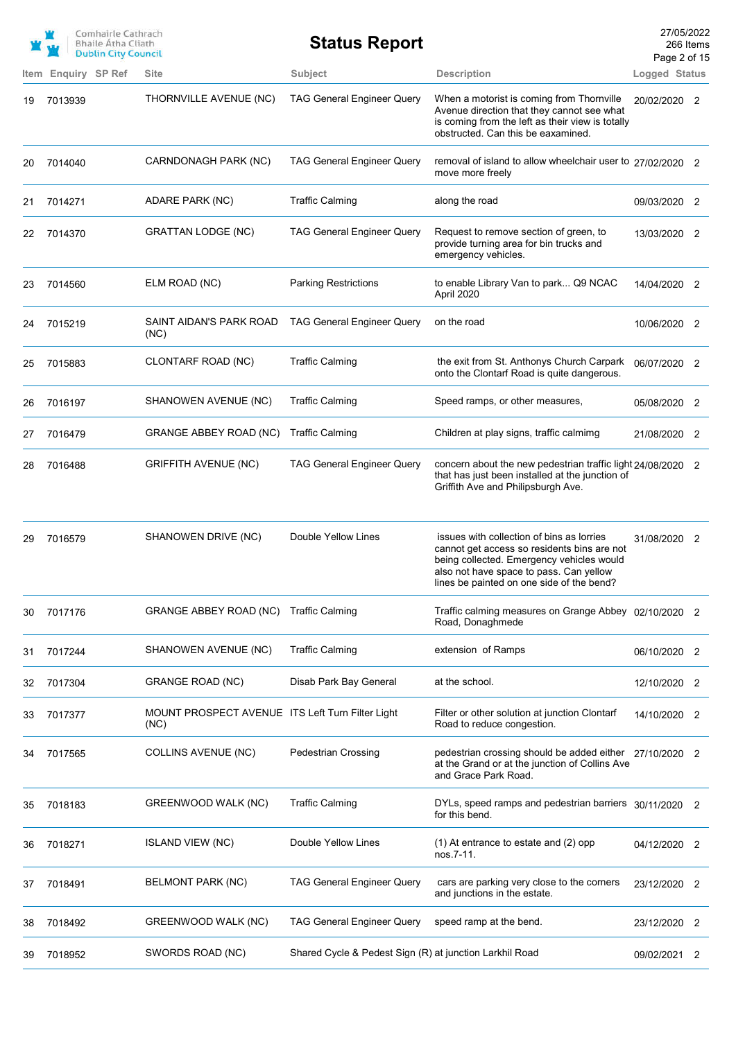|    |                     | Comhairle Cathrach<br><b>Bhaile Átha Cliath</b><br><b>Dublin City Council</b> |                                                          | <b>Status Report</b>                                    |                                                                                                                                                                                                                               | 27/05/2022<br>Page 2 of 15 | 266 Items                  |
|----|---------------------|-------------------------------------------------------------------------------|----------------------------------------------------------|---------------------------------------------------------|-------------------------------------------------------------------------------------------------------------------------------------------------------------------------------------------------------------------------------|----------------------------|----------------------------|
|    | Item Enquiry SP Ref |                                                                               | <b>Site</b>                                              | <b>Subject</b>                                          | <b>Description</b>                                                                                                                                                                                                            | Logged Status              |                            |
| 19 | 7013939             |                                                                               | THORNVILLE AVENUE (NC)                                   | <b>TAG General Engineer Query</b>                       | When a motorist is coming from Thornville<br>Avenue direction that they cannot see what<br>is coming from the left as their view is totally<br>obstructed. Can this be eaxamined.                                             | 20/02/2020 2               |                            |
| 20 | 7014040             |                                                                               | CARNDONAGH PARK (NC)                                     | <b>TAG General Engineer Query</b>                       | removal of island to allow wheelchair user to 27/02/2020 2<br>move more freely                                                                                                                                                |                            |                            |
| 21 | 7014271             |                                                                               | ADARE PARK (NC)                                          | <b>Traffic Calming</b>                                  | along the road                                                                                                                                                                                                                | 09/03/2020 2               |                            |
| 22 | 7014370             |                                                                               | <b>GRATTAN LODGE (NC)</b>                                | <b>TAG General Engineer Query</b>                       | Request to remove section of green, to<br>provide turning area for bin trucks and<br>emergency vehicles.                                                                                                                      | 13/03/2020 2               |                            |
| 23 | 7014560             |                                                                               | ELM ROAD (NC)                                            | <b>Parking Restrictions</b>                             | to enable Library Van to park Q9 NCAC<br>April 2020                                                                                                                                                                           | 14/04/2020 2               |                            |
| 24 | 7015219             |                                                                               | SAINT AIDAN'S PARK ROAD<br>(NC)                          | <b>TAG General Engineer Query</b>                       | on the road                                                                                                                                                                                                                   | 10/06/2020 2               |                            |
| 25 | 7015883             |                                                                               | CLONTARF ROAD (NC)                                       | <b>Traffic Calming</b>                                  | the exit from St. Anthonys Church Carpark<br>onto the Clontarf Road is quite dangerous.                                                                                                                                       | 06/07/2020 2               |                            |
| 26 | 7016197             |                                                                               | SHANOWEN AVENUE (NC)                                     | <b>Traffic Calming</b>                                  | Speed ramps, or other measures,                                                                                                                                                                                               | 05/08/2020 2               |                            |
| 27 | 7016479             |                                                                               | GRANGE ABBEY ROAD (NC)                                   | <b>Traffic Calming</b>                                  | Children at play signs, traffic calmimg                                                                                                                                                                                       | 21/08/2020 2               |                            |
| 28 | 7016488             |                                                                               | <b>GRIFFITH AVENUE (NC)</b>                              | <b>TAG General Engineer Query</b>                       | concern about the new pedestrian traffic light 24/08/2020 2<br>that has just been installed at the junction of<br>Griffith Ave and Philipsburgh Ave.                                                                          |                            |                            |
| 29 | 7016579             |                                                                               | SHANOWEN DRIVE (NC)                                      | Double Yellow Lines                                     | issues with collection of bins as lorries<br>cannot get access so residents bins are not<br>being collected. Emergency vehicles would<br>also not have space to pass. Can yellow<br>lines be painted on one side of the bend? | 31/08/2020 2               |                            |
| 30 | 7017176             |                                                                               | <b>GRANGE ABBEY ROAD (NC)</b>                            | <b>Traffic Calming</b>                                  | Traffic calming measures on Grange Abbey 02/10/2020 2<br>Road, Donaghmede                                                                                                                                                     |                            |                            |
| 31 | 7017244             |                                                                               | SHANOWEN AVENUE (NC)                                     | <b>Traffic Calming</b>                                  | extension of Ramps                                                                                                                                                                                                            | 06/10/2020                 | 2                          |
| 32 | 7017304             |                                                                               | <b>GRANGE ROAD (NC)</b>                                  | Disab Park Bay General                                  | at the school.                                                                                                                                                                                                                | 12/10/2020                 | 2                          |
| 33 | 7017377             |                                                                               | MOUNT PROSPECT AVENUE ITS Left Turn Filter Light<br>(NC) |                                                         | Filter or other solution at junction Clontarf<br>Road to reduce congestion.                                                                                                                                                   | 14/10/2020                 | -2                         |
| 34 | 7017565             |                                                                               | <b>COLLINS AVENUE (NC)</b>                               | <b>Pedestrian Crossing</b>                              | pedestrian crossing should be added either 27/10/2020<br>at the Grand or at the junction of Collins Ave<br>and Grace Park Road.                                                                                               |                            | 2                          |
| 35 | 7018183             |                                                                               | GREENWOOD WALK (NC)                                      | <b>Traffic Calming</b>                                  | DYLs, speed ramps and pedestrian barriers 30/11/2020 2<br>for this bend.                                                                                                                                                      |                            |                            |
| 36 | 7018271             |                                                                               | <b>ISLAND VIEW (NC)</b>                                  | Double Yellow Lines                                     | (1) At entrance to estate and (2) opp<br>nos.7-11.                                                                                                                                                                            | 04/12/2020 2               |                            |
| 37 | 7018491             |                                                                               | BELMONT PARK (NC)                                        | <b>TAG General Engineer Query</b>                       | cars are parking very close to the corners<br>and junctions in the estate.                                                                                                                                                    | 23/12/2020 2               |                            |
| 38 | 7018492             |                                                                               | GREENWOOD WALK (NC)                                      | <b>TAG General Engineer Query</b>                       | speed ramp at the bend.                                                                                                                                                                                                       | 23/12/2020                 | 2                          |
| 39 | 7018952             |                                                                               | SWORDS ROAD (NC)                                         | Shared Cycle & Pedest Sign (R) at junction Larkhil Road |                                                                                                                                                                                                                               | 09/02/2021                 | $\overline{\phantom{0}}^2$ |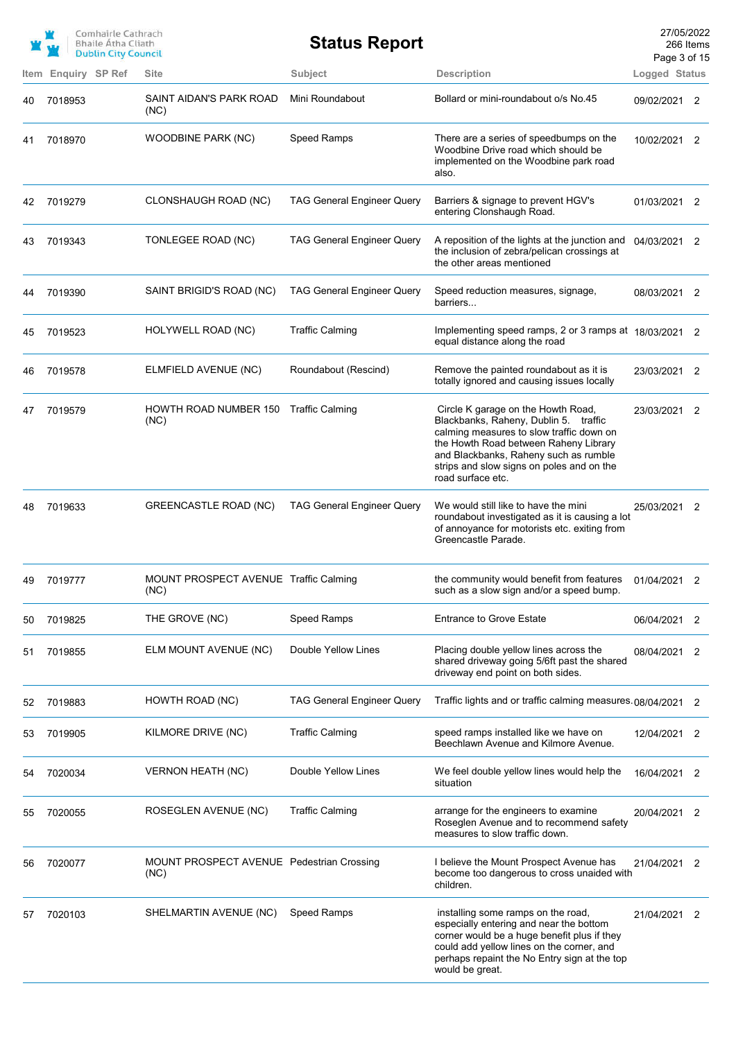|    |                     | Comhairle Cathrach<br><b>Bhaile Atha Cliath</b><br><b>Dublin City Council</b> |                                                   | <b>Status Report</b>              |                                                                                                                                                                                                                                                                             | 27/05/2022<br>Page 3 of 15 | 266 Items                  |
|----|---------------------|-------------------------------------------------------------------------------|---------------------------------------------------|-----------------------------------|-----------------------------------------------------------------------------------------------------------------------------------------------------------------------------------------------------------------------------------------------------------------------------|----------------------------|----------------------------|
|    | Item Enquiry SP Ref |                                                                               | <b>Site</b>                                       | Subject                           | <b>Description</b>                                                                                                                                                                                                                                                          | Logged Status              |                            |
| 40 | 7018953             |                                                                               | SAINT AIDAN'S PARK ROAD<br>(NC)                   | Mini Roundabout                   | Bollard or mini-roundabout o/s No.45                                                                                                                                                                                                                                        | 09/02/2021 2               |                            |
| 41 | 7018970             |                                                                               | <b>WOODBINE PARK (NC)</b>                         | Speed Ramps                       | There are a series of speedbumps on the<br>Woodbine Drive road which should be<br>implemented on the Woodbine park road<br>also.                                                                                                                                            | 10/02/2021 2               |                            |
| 42 | 7019279             |                                                                               | CLONSHAUGH ROAD (NC)                              | <b>TAG General Engineer Query</b> | Barriers & signage to prevent HGV's<br>entering Clonshaugh Road.                                                                                                                                                                                                            | 01/03/2021 2               |                            |
| 43 | 7019343             |                                                                               | TONLEGEE ROAD (NC)                                | <b>TAG General Engineer Query</b> | A reposition of the lights at the junction and<br>the inclusion of zebra/pelican crossings at<br>the other areas mentioned                                                                                                                                                  | 04/03/2021 2               |                            |
| 44 | 7019390             |                                                                               | SAINT BRIGID'S ROAD (NC)                          | <b>TAG General Engineer Query</b> | Speed reduction measures, signage,<br>barriers                                                                                                                                                                                                                              | 08/03/2021 2               |                            |
| 45 | 7019523             |                                                                               | HOLYWELL ROAD (NC)                                | <b>Traffic Calming</b>            | Implementing speed ramps, 2 or 3 ramps at 18/03/2021 2<br>equal distance along the road                                                                                                                                                                                     |                            |                            |
| 46 | 7019578             |                                                                               | ELMFIELD AVENUE (NC)                              | Roundabout (Rescind)              | Remove the painted roundabout as it is<br>totally ignored and causing issues locally                                                                                                                                                                                        | 23/03/2021 2               |                            |
| 47 | 7019579             |                                                                               | HOWTH ROAD NUMBER 150<br>(NC)                     | <b>Traffic Calming</b>            | Circle K garage on the Howth Road,<br>Blackbanks, Raheny, Dublin 5. traffic<br>calming measures to slow traffic down on<br>the Howth Road between Raheny Library<br>and Blackbanks, Raheny such as rumble<br>strips and slow signs on poles and on the<br>road surface etc. | 23/03/2021                 | $\overline{\phantom{0}}^2$ |
| 48 | 7019633             |                                                                               | <b>GREENCASTLE ROAD (NC)</b>                      | <b>TAG General Engineer Query</b> | We would still like to have the mini<br>roundabout investigated as it is causing a lot<br>of annoyance for motorists etc. exiting from<br>Greencastle Parade.                                                                                                               | 25/03/2021 2               |                            |
|    | 7019777             |                                                                               | MOUNT PROSPECT AVENUE Traffic Calming<br>(NC)     |                                   | the community would benefit from features 01/04/2021<br>such as a slow sign and/or a speed bump.                                                                                                                                                                            |                            |                            |
| 50 | 7019825             |                                                                               | THE GROVE (NC)                                    | Speed Ramps                       | <b>Entrance to Grove Estate</b>                                                                                                                                                                                                                                             | 06/04/2021 2               |                            |
| 51 | 7019855             |                                                                               | ELM MOUNT AVENUE (NC)                             | Double Yellow Lines               | Placing double yellow lines across the<br>shared driveway going 5/6ft past the shared<br>driveway end point on both sides.                                                                                                                                                  | 08/04/2021                 | 2                          |
| 52 | 7019883             |                                                                               | HOWTH ROAD (NC)                                   | <b>TAG General Engineer Query</b> | Traffic lights and or traffic calming measures.08/04/2021                                                                                                                                                                                                                   |                            | 2                          |
| 53 | 7019905             |                                                                               | KILMORE DRIVE (NC)                                | <b>Traffic Calming</b>            | speed ramps installed like we have on<br>Beechlawn Avenue and Kilmore Avenue.                                                                                                                                                                                               | 12/04/2021 2               |                            |
| 54 | 7020034             |                                                                               | <b>VERNON HEATH (NC)</b>                          | Double Yellow Lines               | We feel double yellow lines would help the<br>situation                                                                                                                                                                                                                     | 16/04/2021 2               |                            |
| 55 | 7020055             |                                                                               | ROSEGLEN AVENUE (NC)                              | <b>Traffic Calming</b>            | arrange for the engineers to examine<br>Roseglen Avenue and to recommend safety<br>measures to slow traffic down.                                                                                                                                                           | 20/04/2021 2               |                            |
| 56 | 7020077             |                                                                               | MOUNT PROSPECT AVENUE Pedestrian Crossing<br>(NC) |                                   | I believe the Mount Prospect Avenue has<br>become too dangerous to cross unaided with<br>children.                                                                                                                                                                          | 21/04/2021 2               |                            |
| 57 | 7020103             |                                                                               | SHELMARTIN AVENUE (NC)                            | Speed Ramps                       | installing some ramps on the road,<br>especially entering and near the bottom<br>corner would be a huge benefit plus if they<br>could add yellow lines on the corner, and<br>perhaps repaint the No Entry sign at the top<br>would be great.                                | 21/04/2021 2               |                            |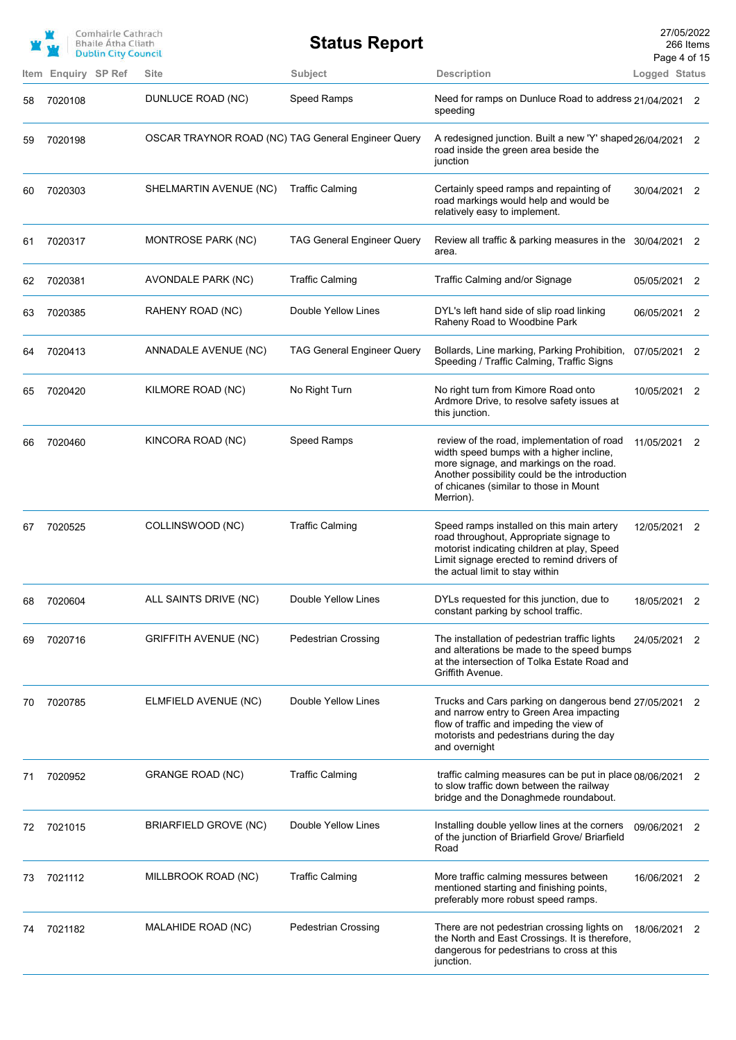|    |                     | Comhairle Cathrach<br><b>Bhaile Atha Cliath</b><br><b>Dublin City Council</b> |                                                    | <b>Status Report</b>              |                                                                                                                                                                                                                                           | 27/05/2022<br>Page 4 of 15 | 266 Items |
|----|---------------------|-------------------------------------------------------------------------------|----------------------------------------------------|-----------------------------------|-------------------------------------------------------------------------------------------------------------------------------------------------------------------------------------------------------------------------------------------|----------------------------|-----------|
|    | Item Enquiry SP Ref |                                                                               | Site                                               | Subject                           | <b>Description</b>                                                                                                                                                                                                                        | Logged Status              |           |
| 58 | 7020108             |                                                                               | DUNLUCE ROAD (NC)                                  | Speed Ramps                       | Need for ramps on Dunluce Road to address 21/04/2021<br>speeding                                                                                                                                                                          |                            | 2         |
| 59 | 7020198             |                                                                               | OSCAR TRAYNOR ROAD (NC) TAG General Engineer Query |                                   | A redesigned junction. Built a new 'Y' shaped 26/04/2021<br>road inside the green area beside the<br>junction                                                                                                                             |                            | 2         |
| 60 | 7020303             |                                                                               | SHELMARTIN AVENUE (NC)                             | <b>Traffic Calming</b>            | Certainly speed ramps and repainting of<br>road markings would help and would be<br>relatively easy to implement.                                                                                                                         | 30/04/2021 2               |           |
| 61 | 7020317             |                                                                               | MONTROSE PARK (NC)                                 | <b>TAG General Engineer Query</b> | Review all traffic & parking measures in the 30/04/2021 2<br>area.                                                                                                                                                                        |                            |           |
| 62 | 7020381             |                                                                               | <b>AVONDALE PARK (NC)</b>                          | <b>Traffic Calming</b>            | Traffic Calming and/or Signage                                                                                                                                                                                                            | 05/05/2021 2               |           |
| 63 | 7020385             |                                                                               | RAHENY ROAD (NC)                                   | Double Yellow Lines               | DYL's left hand side of slip road linking<br>Raheny Road to Woodbine Park                                                                                                                                                                 | 06/05/2021                 | 2         |
| 64 | 7020413             |                                                                               | ANNADALE AVENUE (NC)                               | <b>TAG General Engineer Query</b> | Bollards, Line marking, Parking Prohibition,<br>Speeding / Traffic Calming, Traffic Signs                                                                                                                                                 | 07/05/2021                 | 2         |
| 65 | 7020420             |                                                                               | KILMORE ROAD (NC)                                  | No Right Turn                     | No right turn from Kimore Road onto<br>Ardmore Drive, to resolve safety issues at<br>this junction.                                                                                                                                       | 10/05/2021 2               |           |
| 66 | 7020460             |                                                                               | KINCORA ROAD (NC)                                  | <b>Speed Ramps</b>                | review of the road, implementation of road<br>width speed bumps with a higher incline,<br>more signage, and markings on the road.<br>Another possibility could be the introduction<br>of chicanes (similar to those in Mount<br>Merrion). | 11/05/2021                 | - 2       |
| 67 | 7020525             |                                                                               | COLLINSWOOD (NC)                                   | <b>Traffic Calming</b>            | Speed ramps installed on this main artery<br>road throughout, Appropriate signage to<br>motorist indicating children at play, Speed<br>Limit signage erected to remind drivers of<br>the actual limit to stay within                      | 12/05/2021                 | 2         |
| 68 | 7020604             |                                                                               | ALL SAINTS DRIVE (NC)                              | Double Yellow Lines               | DYLs requested for this junction, due to<br>constant parking by school traffic.                                                                                                                                                           | 18/05/2021                 | 2         |
| 69 | 7020716             |                                                                               | <b>GRIFFITH AVENUE (NC)</b>                        | <b>Pedestrian Crossing</b>        | The installation of pedestrian traffic lights<br>and alterations be made to the speed bumps<br>at the intersection of Tolka Estate Road and<br>Griffith Avenue.                                                                           | 24/05/2021                 | 2         |
| 70 | 7020785             |                                                                               | ELMFIELD AVENUE (NC)                               | Double Yellow Lines               | Trucks and Cars parking on dangerous bend 27/05/2021 2<br>and narrow entry to Green Area impacting<br>flow of traffic and impeding the view of<br>motorists and pedestrians during the day<br>and overnight                               |                            |           |
| 71 | 7020952             |                                                                               | <b>GRANGE ROAD (NC)</b>                            | <b>Traffic Calming</b>            | traffic calming measures can be put in place 08/06/2021 2<br>to slow traffic down between the railway<br>bridge and the Donaghmede roundabout.                                                                                            |                            |           |
| 72 | 7021015             |                                                                               | BRIARFIELD GROVE (NC)                              | Double Yellow Lines               | Installing double yellow lines at the corners<br>of the junction of Briarfield Grove/ Briarfield<br>Road                                                                                                                                  | 09/06/2021                 | 2         |
| 73 | 7021112             |                                                                               | MILLBROOK ROAD (NC)                                | <b>Traffic Calming</b>            | More traffic calming messures between<br>mentioned starting and finishing points,<br>preferably more robust speed ramps.                                                                                                                  | 16/06/2021                 | 2         |
| 74 | 7021182             |                                                                               | MALAHIDE ROAD (NC)                                 | <b>Pedestrian Crossing</b>        | There are not pedestrian crossing lights on<br>the North and East Crossings. It is therefore,<br>dangerous for pedestrians to cross at this<br>junction.                                                                                  | 18/06/2021                 | 2         |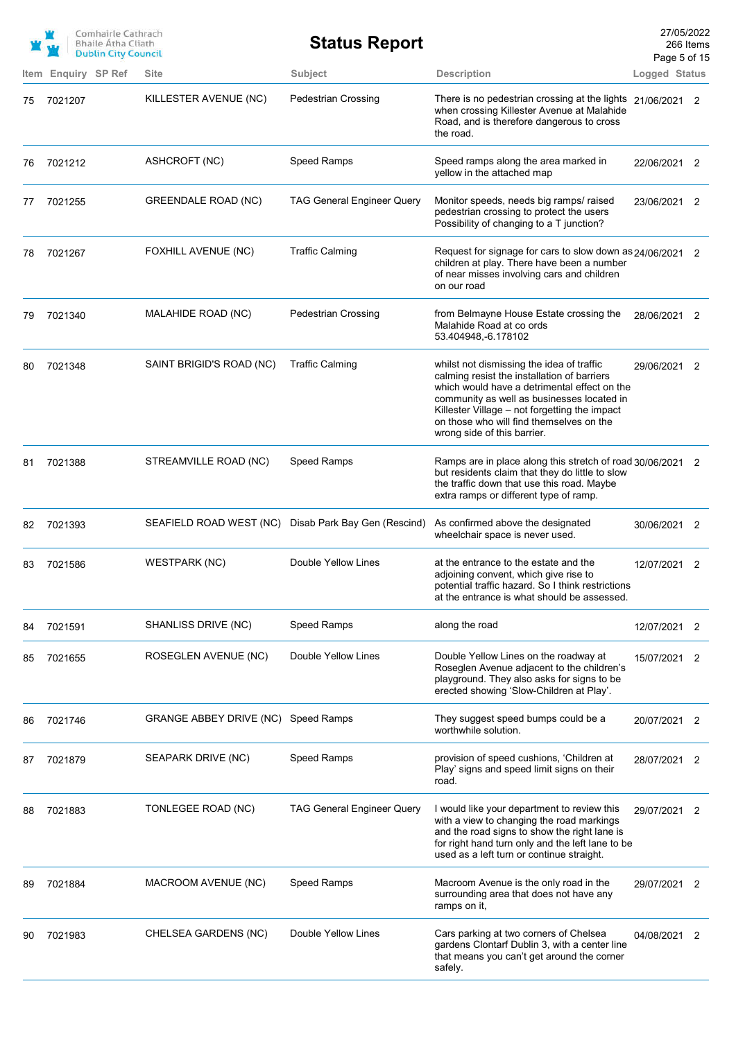|    |                     | Comhairle Cathrach<br><b>Bhaile Atha Cliath</b><br><b>Dublin City Council</b> |                                     | <b>Status Report</b>              |                                                                                                                                                                                                                                                                                                                    | 27/05/2022<br>Page 5 of 15 | 266 Items |
|----|---------------------|-------------------------------------------------------------------------------|-------------------------------------|-----------------------------------|--------------------------------------------------------------------------------------------------------------------------------------------------------------------------------------------------------------------------------------------------------------------------------------------------------------------|----------------------------|-----------|
|    | Item Enquiry SP Ref |                                                                               | Site                                | Subject                           | <b>Description</b>                                                                                                                                                                                                                                                                                                 | Logged Status              |           |
| 75 | 7021207             |                                                                               | KILLESTER AVENUE (NC)               | <b>Pedestrian Crossing</b>        | There is no pedestrian crossing at the lights 21/06/2021 2<br>when crossing Killester Avenue at Malahide<br>Road, and is therefore dangerous to cross<br>the road.                                                                                                                                                 |                            |           |
| 76 | 7021212             |                                                                               | ASHCROFT (NC)                       | Speed Ramps                       | Speed ramps along the area marked in<br>yellow in the attached map                                                                                                                                                                                                                                                 | 22/06/2021 2               |           |
| 77 | 7021255             |                                                                               | <b>GREENDALE ROAD (NC)</b>          | <b>TAG General Engineer Query</b> | Monitor speeds, needs big ramps/ raised<br>pedestrian crossing to protect the users<br>Possibility of changing to a T junction?                                                                                                                                                                                    | 23/06/2021                 | 2         |
| 78 | 7021267             |                                                                               | FOXHILL AVENUE (NC)                 | <b>Traffic Calming</b>            | Request for signage for cars to slow down as 24/06/2021 2<br>children at play. There have been a number<br>of near misses involving cars and children<br>on our road                                                                                                                                               |                            |           |
| 79 | 7021340             |                                                                               | MALAHIDE ROAD (NC)                  | <b>Pedestrian Crossing</b>        | from Belmayne House Estate crossing the<br>Malahide Road at co ords<br>53.404948, -6.178102                                                                                                                                                                                                                        | 28/06/2021 2               |           |
| 80 | 7021348             |                                                                               | SAINT BRIGID'S ROAD (NC)            | <b>Traffic Calming</b>            | whilst not dismissing the idea of traffic<br>calming resist the installation of barriers<br>which would have a detrimental effect on the<br>community as well as businesses located in<br>Killester Village - not forgetting the impact<br>on those who will find themselves on the<br>wrong side of this barrier. | 29/06/2021 2               |           |
| 81 | 7021388             |                                                                               | STREAMVILLE ROAD (NC)               | Speed Ramps                       | Ramps are in place along this stretch of road 30/06/2021 2<br>but residents claim that they do little to slow<br>the traffic down that use this road. Maybe<br>extra ramps or different type of ramp.                                                                                                              |                            |           |
| 82 | 7021393             |                                                                               | SEAFIELD ROAD WEST (NC)             | Disab Park Bay Gen (Rescind)      | As confirmed above the designated<br>wheelchair space is never used.                                                                                                                                                                                                                                               | 30/06/2021 2               |           |
| 83 | 7021586             |                                                                               | <b>WESTPARK (NC)</b>                | Double Yellow Lines               | at the entrance to the estate and the<br>adjoining convent, which give rise to<br>potential traffic hazard. So I think restrictions<br>at the entrance is what should be assessed.                                                                                                                                 | 12/07/2021 2               |           |
| 84 | 7021591             |                                                                               | SHANLISS DRIVE (NC)                 | Speed Ramps                       | along the road                                                                                                                                                                                                                                                                                                     | 12/07/2021                 | 2         |
| 85 | 7021655             |                                                                               | ROSEGLEN AVENUE (NC)                | Double Yellow Lines               | Double Yellow Lines on the roadway at<br>Roseglen Avenue adjacent to the children's<br>playground. They also asks for signs to be<br>erected showing 'Slow-Children at Play'.                                                                                                                                      | 15/07/2021                 | 2         |
| 86 | 7021746             |                                                                               | GRANGE ABBEY DRIVE (NC) Speed Ramps |                                   | They suggest speed bumps could be a<br>worthwhile solution.                                                                                                                                                                                                                                                        | 20/07/2021                 | 2         |
| 87 | 7021879             |                                                                               | SEAPARK DRIVE (NC)                  | Speed Ramps                       | provision of speed cushions, 'Children at<br>Play' signs and speed limit signs on their<br>road.                                                                                                                                                                                                                   | 28/07/2021                 | 2         |
| 88 | 7021883             |                                                                               | TONLEGEE ROAD (NC)                  | <b>TAG General Engineer Query</b> | I would like your department to review this<br>with a view to changing the road markings<br>and the road signs to show the right lane is<br>for right hand turn only and the left lane to be<br>used as a left turn or continue straight.                                                                          | 29/07/2021 2               |           |
| 89 | 7021884             |                                                                               | MACROOM AVENUE (NC)                 | Speed Ramps                       | Macroom Avenue is the only road in the<br>surrounding area that does not have any<br>ramps on it,                                                                                                                                                                                                                  | 29/07/2021                 | 2         |
| 90 | 7021983             |                                                                               | CHELSEA GARDENS (NC)                | Double Yellow Lines               | Cars parking at two corners of Chelsea<br>gardens Clontarf Dublin 3, with a center line<br>that means you can't get around the corner<br>safely.                                                                                                                                                                   | 04/08/2021                 | 2         |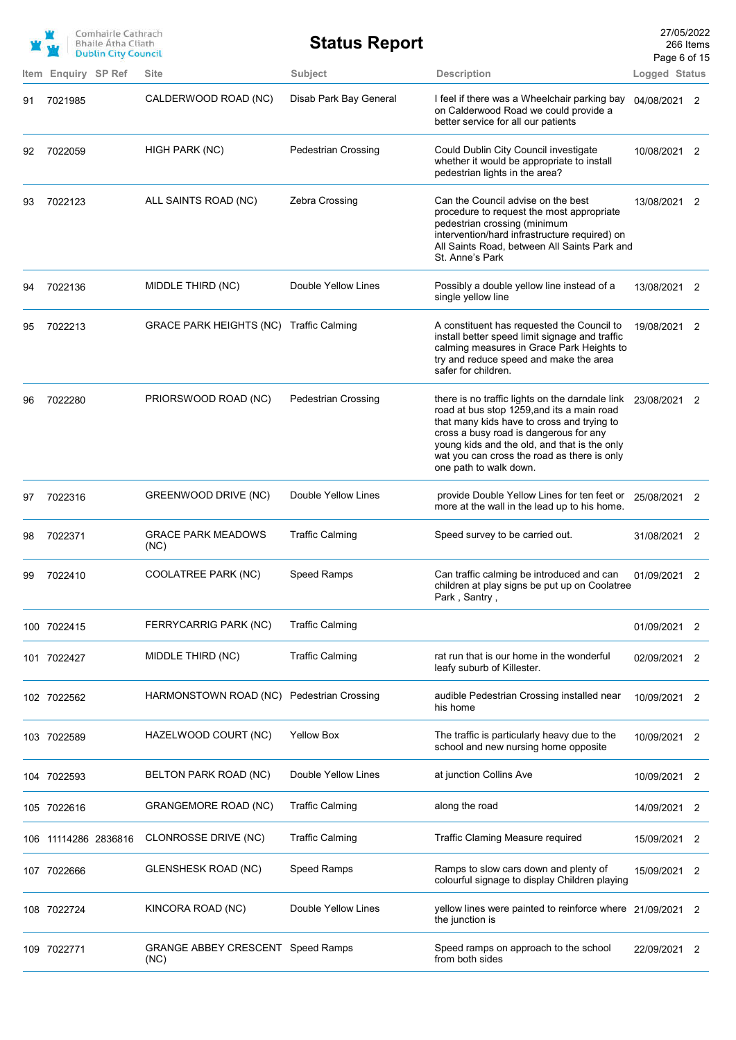|     |                     | Comhairle Cathrach<br><b>Bhaile Atha Cliath</b><br><b>Dublin City Council</b> |                                                  | <b>Status Report</b>       |                                                                                                                                                                                                                                                                                                                | 27/05/2022<br>Page 6 of 15 | 266 Items      |
|-----|---------------------|-------------------------------------------------------------------------------|--------------------------------------------------|----------------------------|----------------------------------------------------------------------------------------------------------------------------------------------------------------------------------------------------------------------------------------------------------------------------------------------------------------|----------------------------|----------------|
|     | Item Enquiry SP Ref |                                                                               | <b>Site</b>                                      | <b>Subject</b>             | <b>Description</b>                                                                                                                                                                                                                                                                                             | Logged Status              |                |
| 91  | 7021985             |                                                                               | CALDERWOOD ROAD (NC)                             | Disab Park Bay General     | I feel if there was a Wheelchair parking bay<br>on Calderwood Road we could provide a<br>better service for all our patients                                                                                                                                                                                   | 04/08/2021 2               |                |
| 92  | 7022059             |                                                                               | HIGH PARK (NC)                                   | <b>Pedestrian Crossing</b> | Could Dublin City Council investigate<br>whether it would be appropriate to install<br>pedestrian lights in the area?                                                                                                                                                                                          | 10/08/2021 2               |                |
| 93  | 7022123             |                                                                               | ALL SAINTS ROAD (NC)                             | Zebra Crossing             | Can the Council advise on the best<br>procedure to request the most appropriate<br>pedestrian crossing (minimum<br>intervention/hard infrastructure required) on<br>All Saints Road, between All Saints Park and<br>St. Anne's Park                                                                            | 13/08/2021 2               |                |
| 94  | 7022136             |                                                                               | MIDDLE THIRD (NC)                                | Double Yellow Lines        | Possibly a double yellow line instead of a<br>single yellow line                                                                                                                                                                                                                                               | 13/08/2021 2               |                |
| 95  | 7022213             |                                                                               | GRACE PARK HEIGHTS (NC) Traffic Calming          |                            | A constituent has requested the Council to<br>install better speed limit signage and traffic<br>calming measures in Grace Park Heights to<br>try and reduce speed and make the area<br>safer for children.                                                                                                     | 19/08/2021                 | 2              |
| 96  | 7022280             |                                                                               | PRIORSWOOD ROAD (NC)                             | <b>Pedestrian Crossing</b> | there is no traffic lights on the darndale link<br>road at bus stop 1259, and its a main road<br>that many kids have to cross and trying to<br>cross a busy road is dangerous for any<br>young kids and the old, and that is the only<br>wat you can cross the road as there is only<br>one path to walk down. | 23/08/2021                 | 2              |
| 97  | 7022316             |                                                                               | GREENWOOD DRIVE (NC)                             | Double Yellow Lines        | provide Double Yellow Lines for ten feet or<br>more at the wall in the lead up to his home.                                                                                                                                                                                                                    | 25/08/2021                 | 2              |
| 98  | 7022371             |                                                                               | <b>GRACE PARK MEADOWS</b><br>(NC)                | <b>Traffic Calming</b>     | Speed survey to be carried out.                                                                                                                                                                                                                                                                                | 31/08/2021                 | 2              |
| 99  | 7022410             |                                                                               | COOLATREE PARK (NC)                              | Speed Ramps                | Can traffic calming be introduced and can<br>children at play signs be put up on Coolatree<br>Park, Santry,                                                                                                                                                                                                    | 01/09/2021                 | 2              |
|     | 100 7022415         |                                                                               | FERRYCARRIG PARK (NC)                            | <b>Traffic Calming</b>     |                                                                                                                                                                                                                                                                                                                | 01/09/2021                 | 2              |
|     | 101 7022427         |                                                                               | MIDDLE THIRD (NC)                                | <b>Traffic Calming</b>     | rat run that is our home in the wonderful<br>leafy suburb of Killester.                                                                                                                                                                                                                                        | 02/09/2021                 | 2              |
|     | 102 7022562         |                                                                               | HARMONSTOWN ROAD (NC) Pedestrian Crossing        |                            | audible Pedestrian Crossing installed near<br>his home                                                                                                                                                                                                                                                         | 10/09/2021                 | 2              |
|     | 103 7022589         |                                                                               | HAZELWOOD COURT (NC)                             | <b>Yellow Box</b>          | The traffic is particularly heavy due to the<br>school and new nursing home opposite                                                                                                                                                                                                                           | 10/09/2021                 | $\overline{2}$ |
|     | 104 7022593         |                                                                               | BELTON PARK ROAD (NC)                            | Double Yellow Lines        | at junction Collins Ave                                                                                                                                                                                                                                                                                        | 10/09/2021                 | 2              |
|     | 105 7022616         |                                                                               | <b>GRANGEMORE ROAD (NC)</b>                      | <b>Traffic Calming</b>     | along the road                                                                                                                                                                                                                                                                                                 | 14/09/2021                 | 2              |
| 106 | 11114286 2836816    |                                                                               | CLONROSSE DRIVE (NC)                             | <b>Traffic Calming</b>     | Traffic Claming Measure required                                                                                                                                                                                                                                                                               | 15/09/2021                 | 2              |
|     | 107 7022666         |                                                                               | <b>GLENSHESK ROAD (NC)</b>                       | Speed Ramps                | Ramps to slow cars down and plenty of<br>colourful signage to display Children playing                                                                                                                                                                                                                         | 15/09/2021                 | 2              |
|     | 108 7022724         |                                                                               | KINCORA ROAD (NC)                                | Double Yellow Lines        | yellow lines were painted to reinforce where<br>the junction is                                                                                                                                                                                                                                                | 21/09/2021                 | 2              |
| 109 | 7022771             |                                                                               | <b>GRANGE ABBEY CRESCENT Speed Ramps</b><br>(NC) |                            | Speed ramps on approach to the school<br>from both sides                                                                                                                                                                                                                                                       | 22/09/2021                 | 2              |
|     |                     |                                                                               |                                                  |                            |                                                                                                                                                                                                                                                                                                                |                            |                |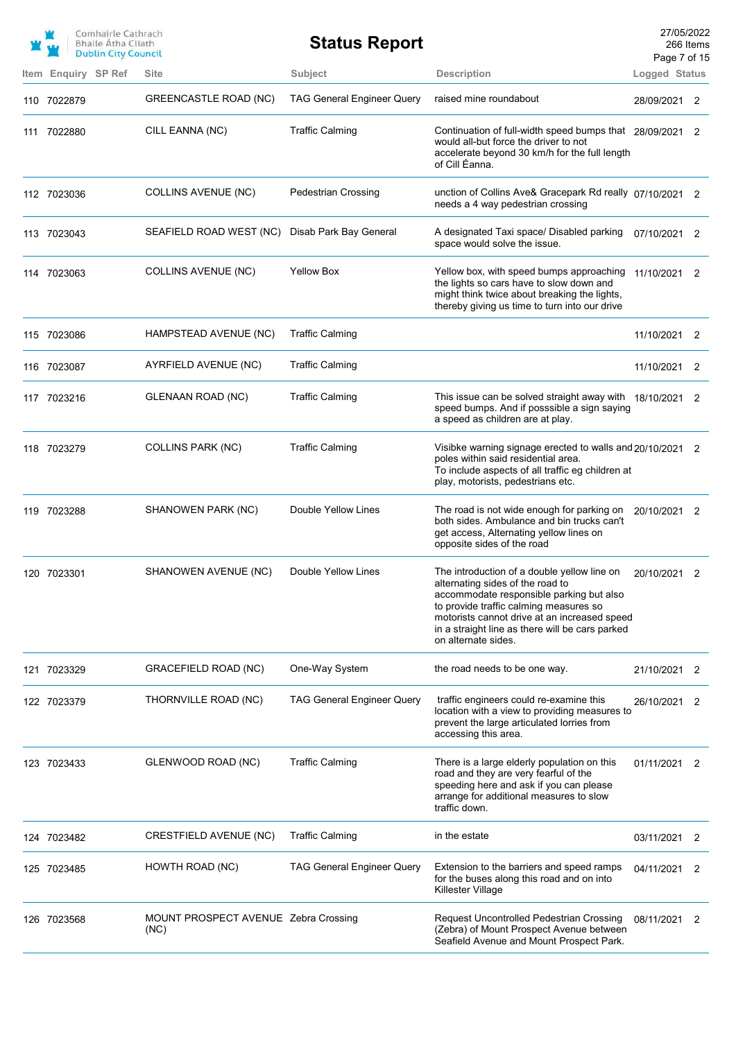|                     | Comhairle Cathrach<br><b>Bhaile Atha Cliath</b><br><b>Dublin City Council</b> |                                              | <b>Status Report</b>              |                                                                                                                                                                                                                                                                                                 | 27/05/2022<br>266 Items<br>Page 7 of 15 |    |
|---------------------|-------------------------------------------------------------------------------|----------------------------------------------|-----------------------------------|-------------------------------------------------------------------------------------------------------------------------------------------------------------------------------------------------------------------------------------------------------------------------------------------------|-----------------------------------------|----|
| Item Enquiry SP Ref |                                                                               | <b>Site</b>                                  | Subject                           | <b>Description</b>                                                                                                                                                                                                                                                                              | Logged Status                           |    |
| 110 7022879         |                                                                               | GREENCASTLE ROAD (NC)                        | <b>TAG General Engineer Query</b> | raised mine roundabout                                                                                                                                                                                                                                                                          | 28/09/2021                              | 2  |
| 111 7022880         |                                                                               | CILL EANNA (NC)                              | <b>Traffic Calming</b>            | Continuation of full-width speed bumps that 28/09/2021<br>would all-but force the driver to not<br>accelerate beyond 30 km/h for the full length<br>of Cill Éanna.                                                                                                                              |                                         | 2  |
| 112 7023036         |                                                                               | <b>COLLINS AVENUE (NC)</b>                   | <b>Pedestrian Crossing</b>        | unction of Collins Ave& Gracepark Rd really 07/10/2021 2<br>needs a 4 way pedestrian crossing                                                                                                                                                                                                   |                                         |    |
| 113 7023043         |                                                                               | SEAFIELD ROAD WEST (NC)                      | Disab Park Bay General            | A designated Taxi space/ Disabled parking<br>space would solve the issue.                                                                                                                                                                                                                       | 07/10/2021 2                            |    |
| 114 7023063         |                                                                               | COLLINS AVENUE (NC)                          | <b>Yellow Box</b>                 | Yellow box, with speed bumps approaching<br>the lights so cars have to slow down and<br>might think twice about breaking the lights,<br>thereby giving us time to turn into our drive                                                                                                           | 11/10/2021 2                            |    |
| 115 7023086         |                                                                               | HAMPSTEAD AVENUE (NC)                        | <b>Traffic Calming</b>            |                                                                                                                                                                                                                                                                                                 | 11/10/2021 2                            |    |
| 116 7023087         |                                                                               | AYRFIELD AVENUE (NC)                         | <b>Traffic Calming</b>            |                                                                                                                                                                                                                                                                                                 | 11/10/2021                              | -2 |
| 117 7023216         |                                                                               | GLENAAN ROAD (NC)                            | <b>Traffic Calming</b>            | This issue can be solved straight away with 18/10/2021 2<br>speed bumps. And if posssible a sign saying<br>a speed as children are at play.                                                                                                                                                     |                                         |    |
| 118 7023279         |                                                                               | <b>COLLINS PARK (NC)</b>                     | <b>Traffic Calming</b>            | Visibke warning signage erected to walls and 20/10/2021 2<br>poles within said residential area.<br>To include aspects of all traffic eg children at<br>play, motorists, pedestrians etc.                                                                                                       |                                         |    |
| 119 7023288         |                                                                               | SHANOWEN PARK (NC)                           | Double Yellow Lines               | The road is not wide enough for parking on<br>both sides. Ambulance and bin trucks can't<br>get access, Alternating yellow lines on<br>opposite sides of the road                                                                                                                               | 20/10/2021 2                            |    |
| 120 7023301         |                                                                               | SHANOWEN AVENUE (NC)                         | Double Yellow Lines               | The introduction of a double yellow line on<br>alternating sides of the road to<br>accommodate responsible parking but also<br>to provide traffic calming measures so<br>motorists cannot drive at an increased speed<br>in a straight line as there will be cars parked<br>on alternate sides. | 20/10/2021 2                            |    |
| 121 7023329         |                                                                               | GRACEFIELD ROAD (NC)                         | One-Way System                    | the road needs to be one way.                                                                                                                                                                                                                                                                   | 21/10/2021 2                            |    |
| 122 7023379         |                                                                               | THORNVILLE ROAD (NC)                         | <b>TAG General Engineer Query</b> | traffic engineers could re-examine this<br>location with a view to providing measures to<br>prevent the large articulated lorries from<br>accessing this area.                                                                                                                                  | 26/10/2021 2                            |    |
| 123 7023433         |                                                                               | GLENWOOD ROAD (NC)                           | <b>Traffic Calming</b>            | There is a large elderly population on this<br>road and they are very fearful of the<br>speeding here and ask if you can please<br>arrange for additional measures to slow<br>traffic down.                                                                                                     | 01/11/2021                              | 2  |
| 124 7023482         |                                                                               | CRESTFIELD AVENUE (NC)                       | <b>Traffic Calming</b>            | in the estate                                                                                                                                                                                                                                                                                   | 03/11/2021 2                            |    |
| 125 7023485         |                                                                               | HOWTH ROAD (NC)                              | <b>TAG General Engineer Query</b> | Extension to the barriers and speed ramps<br>for the buses along this road and on into<br>Killester Village                                                                                                                                                                                     | 04/11/2021 2                            |    |
| 126 7023568         |                                                                               | MOUNT PROSPECT AVENUE Zebra Crossing<br>(NC) |                                   | Request Uncontrolled Pedestrian Crossing<br>(Zebra) of Mount Prospect Avenue between<br>Seafield Avenue and Mount Prospect Park.                                                                                                                                                                | 08/11/2021                              | 2  |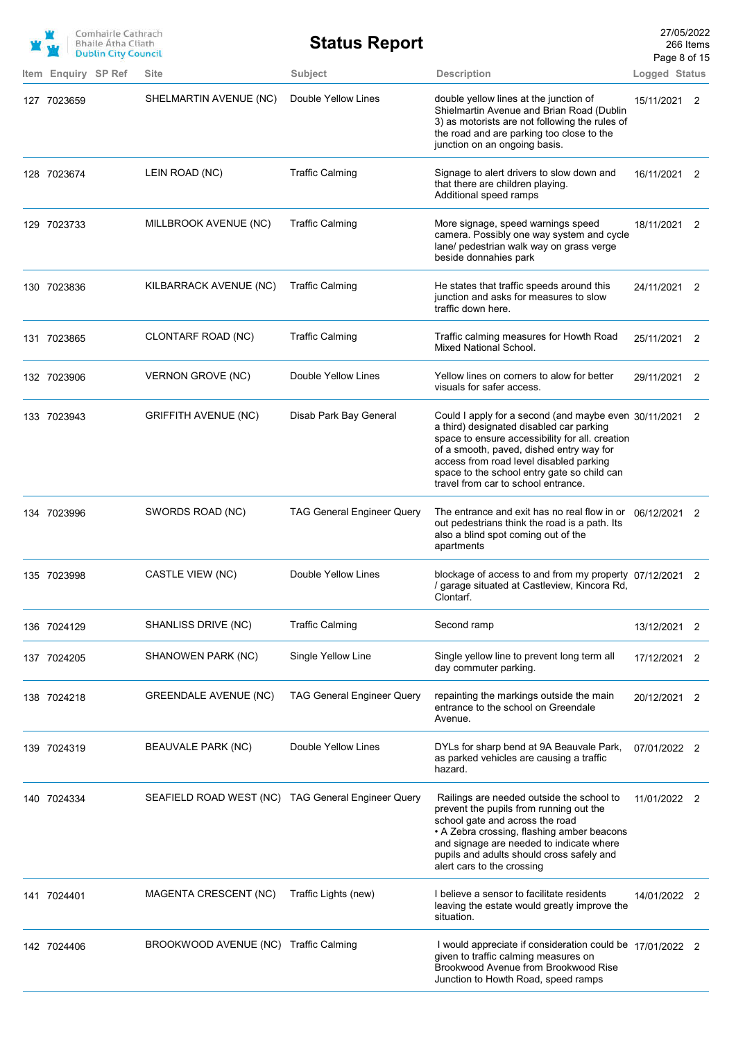|                     | Comhairle Cathrach<br><b>Bhaile Atha Cliath</b><br><b>Dublin City Council</b> |                                                    | <b>Status Report</b>              |                                                                                                                                                                                                                                                                                                                                     | 27/05/2022<br>Page 8 of 15 | 266 Items |
|---------------------|-------------------------------------------------------------------------------|----------------------------------------------------|-----------------------------------|-------------------------------------------------------------------------------------------------------------------------------------------------------------------------------------------------------------------------------------------------------------------------------------------------------------------------------------|----------------------------|-----------|
| Item Enquiry SP Ref |                                                                               | Site                                               | Subject                           | <b>Description</b>                                                                                                                                                                                                                                                                                                                  | Logged Status              |           |
| 127 7023659         |                                                                               | SHELMARTIN AVENUE (NC)                             | Double Yellow Lines               | double yellow lines at the junction of<br>Shielmartin Avenue and Brian Road (Dublin<br>3) as motorists are not following the rules of<br>the road and are parking too close to the<br>junction on an ongoing basis.                                                                                                                 | 15/11/2021 2               |           |
| 128 7023674         |                                                                               | LEIN ROAD (NC)                                     | <b>Traffic Calming</b>            | Signage to alert drivers to slow down and<br>that there are children playing.<br>Additional speed ramps                                                                                                                                                                                                                             | 16/11/2021 2               |           |
| 129 7023733         |                                                                               | MILLBROOK AVENUE (NC)                              | <b>Traffic Calming</b>            | More signage, speed warnings speed<br>camera. Possibly one way system and cycle<br>lane/ pedestrian walk way on grass verge<br>beside donnahies park                                                                                                                                                                                | 18/11/2021 2               |           |
| 130 7023836         |                                                                               | KILBARRACK AVENUE (NC)                             | <b>Traffic Calming</b>            | He states that traffic speeds around this<br>junction and asks for measures to slow<br>traffic down here.                                                                                                                                                                                                                           | 24/11/2021 2               |           |
| 131 7023865         |                                                                               | CLONTARF ROAD (NC)                                 | <b>Traffic Calming</b>            | Traffic calming measures for Howth Road<br>Mixed National School.                                                                                                                                                                                                                                                                   | 25/11/2021 2               |           |
| 132 7023906         |                                                                               | VERNON GROVE (NC)                                  | Double Yellow Lines               | Yellow lines on corners to alow for better<br>visuals for safer access.                                                                                                                                                                                                                                                             | 29/11/2021 2               |           |
| 133 7023943         |                                                                               | <b>GRIFFITH AVENUE (NC)</b>                        | Disab Park Bay General            | Could I apply for a second (and maybe even 30/11/2021 2<br>a third) designated disabled car parking<br>space to ensure accessibility for all. creation<br>of a smooth, paved, dished entry way for<br>access from road level disabled parking<br>space to the school entry gate so child can<br>travel from car to school entrance. |                            |           |
| 134 7023996         |                                                                               | SWORDS ROAD (NC)                                   | <b>TAG General Engineer Query</b> | The entrance and exit has no real flow in or $06/12/2021$ 2<br>out pedestrians think the road is a path. Its<br>also a blind spot coming out of the<br>apartments                                                                                                                                                                   |                            |           |
| 135 7023998         |                                                                               | CASTLE VIEW (NC)                                   | Double Yellow Lines               | blockage of access to and from my property $07/12/2021$ 2<br>/ garage situated at Castleview, Kincora Rd,<br>Clontarf.                                                                                                                                                                                                              |                            |           |
| 136 7024129         |                                                                               | SHANLISS DRIVE (NC)                                | <b>Traffic Calming</b>            | Second ramp                                                                                                                                                                                                                                                                                                                         | 13/12/2021                 | 2         |
| 137 7024205         |                                                                               | SHANOWEN PARK (NC)                                 | Single Yellow Line                | Single yellow line to prevent long term all<br>day commuter parking.                                                                                                                                                                                                                                                                | 17/12/2021 2               |           |
| 138 7024218         |                                                                               | GREENDALE AVENUE (NC)                              | <b>TAG General Engineer Query</b> | repainting the markings outside the main<br>entrance to the school on Greendale<br>Avenue.                                                                                                                                                                                                                                          | 20/12/2021 2               |           |
| 139 7024319         |                                                                               | BEAUVALE PARK (NC)                                 | Double Yellow Lines               | DYLs for sharp bend at 9A Beauvale Park,<br>as parked vehicles are causing a traffic<br>hazard.                                                                                                                                                                                                                                     | 07/01/2022 2               |           |
| 140 7024334         |                                                                               | SEAFIELD ROAD WEST (NC) TAG General Engineer Query |                                   | Railings are needed outside the school to<br>prevent the pupils from running out the<br>school gate and across the road<br>• A Zebra crossing, flashing amber beacons<br>and signage are needed to indicate where<br>pupils and adults should cross safely and<br>alert cars to the crossing                                        | 11/01/2022 2               |           |
| 141 7024401         |                                                                               | MAGENTA CRESCENT (NC)                              | Traffic Lights (new)              | I believe a sensor to facilitate residents<br>leaving the estate would greatly improve the<br>situation.                                                                                                                                                                                                                            | 14/01/2022 2               |           |
| 142 7024406         |                                                                               | BROOKWOOD AVENUE (NC) Traffic Calming              |                                   | I would appreciate if consideration could be 17/01/2022 2<br>given to traffic calming measures on<br>Brookwood Avenue from Brookwood Rise<br>Junction to Howth Road, speed ramps                                                                                                                                                    |                            |           |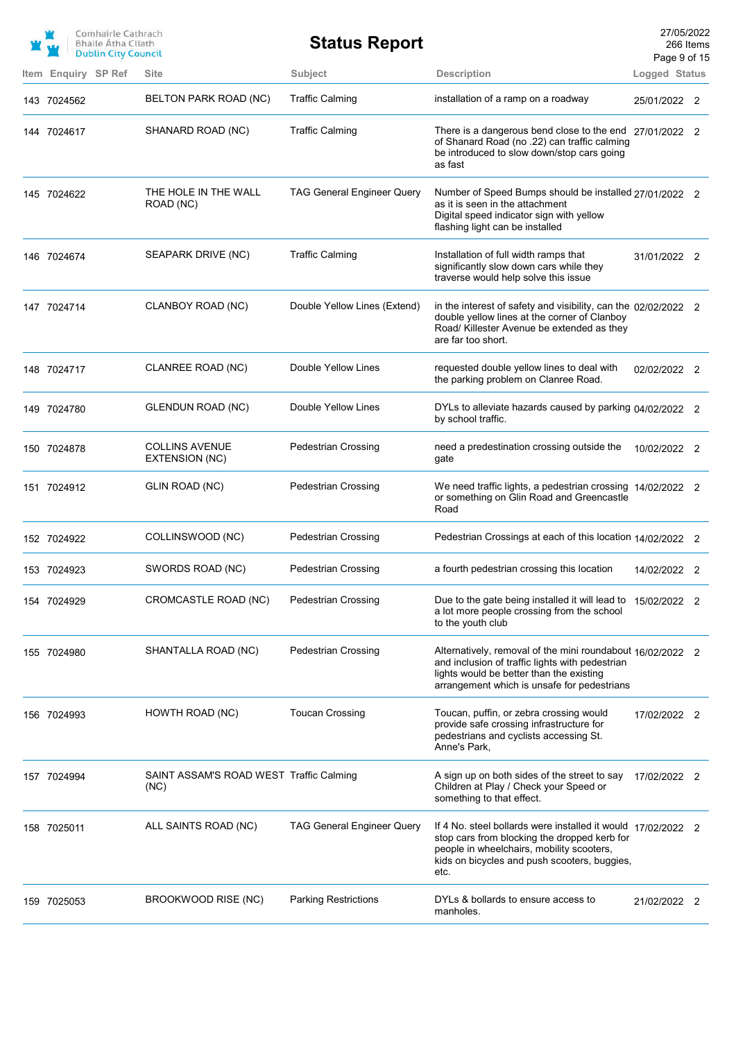|                     | Comhairle Cathrach<br><b>Bhaile Atha Cliath</b><br><b>Dublin City Council</b> |                                                 | <b>Status Report</b>              |                                                                                                                                                                                                                   | 27/05/2022<br>266 Items<br>Page 9 of 15 |  |
|---------------------|-------------------------------------------------------------------------------|-------------------------------------------------|-----------------------------------|-------------------------------------------------------------------------------------------------------------------------------------------------------------------------------------------------------------------|-----------------------------------------|--|
| Item Enquiry SP Ref |                                                                               | Site                                            | Subject                           | <b>Description</b>                                                                                                                                                                                                | Logged Status                           |  |
| 143 7024562         |                                                                               | BELTON PARK ROAD (NC)                           | <b>Traffic Calming</b>            | installation of a ramp on a roadway                                                                                                                                                                               | 25/01/2022 2                            |  |
| 144 7024617         |                                                                               | SHANARD ROAD (NC)                               | <b>Traffic Calming</b>            | There is a dangerous bend close to the end 27/01/2022 2<br>of Shanard Road (no .22) can traffic calming<br>be introduced to slow down/stop cars going<br>as fast                                                  |                                         |  |
| 145 7024622         |                                                                               | THE HOLE IN THE WALL<br>ROAD (NC)               | <b>TAG General Engineer Query</b> | Number of Speed Bumps should be installed 27/01/2022 2<br>as it is seen in the attachment<br>Digital speed indicator sign with yellow<br>flashing light can be installed                                          |                                         |  |
| 146 7024674         |                                                                               | SEAPARK DRIVE (NC)                              | <b>Traffic Calming</b>            | Installation of full width ramps that<br>significantly slow down cars while they<br>traverse would help solve this issue                                                                                          | 31/01/2022 2                            |  |
| 147 7024714         |                                                                               | CLANBOY ROAD (NC)                               | Double Yellow Lines (Extend)      | in the interest of safety and visibility, can the $02/02/2022$ 2<br>double yellow lines at the corner of Clanboy<br>Road/ Killester Avenue be extended as they<br>are far too short.                              |                                         |  |
| 148 7024717         |                                                                               | CLANREE ROAD (NC)                               | Double Yellow Lines               | requested double yellow lines to deal with<br>the parking problem on Clanree Road.                                                                                                                                | 02/02/2022 2                            |  |
| 149 7024780         |                                                                               | GLENDUN ROAD (NC)                               | Double Yellow Lines               | DYLs to alleviate hazards caused by parking 04/02/2022 2<br>by school traffic.                                                                                                                                    |                                         |  |
| 150 7024878         |                                                                               | <b>COLLINS AVENUE</b><br>EXTENSION (NC)         | <b>Pedestrian Crossing</b>        | need a predestination crossing outside the<br>gate                                                                                                                                                                | 10/02/2022 2                            |  |
| 151 7024912         |                                                                               | GLIN ROAD (NC)                                  | <b>Pedestrian Crossing</b>        | We need traffic lights, a pedestrian crossing 14/02/2022 2<br>or something on Glin Road and Greencastle<br>Road                                                                                                   |                                         |  |
| 152 7024922         |                                                                               | COLLINSWOOD (NC)                                | <b>Pedestrian Crossing</b>        | Pedestrian Crossings at each of this location 14/02/2022 2                                                                                                                                                        |                                         |  |
| 153 7024923         |                                                                               | SWORDS ROAD (NC)                                | <b>Pedestrian Crossing</b>        | a fourth pedestrian crossing this location                                                                                                                                                                        | 14/02/2022 2                            |  |
| 154 7024929         |                                                                               | CROMCASTLE ROAD (NC)                            | <b>Pedestrian Crossing</b>        | Due to the gate being installed it will lead to<br>a lot more people crossing from the school<br>to the youth club                                                                                                | 15/02/2022 2                            |  |
| 155 7024980         |                                                                               | SHANTALLA ROAD (NC)                             | <b>Pedestrian Crossing</b>        | Alternatively, removal of the mini roundabout 16/02/2022 2<br>and inclusion of traffic lights with pedestrian<br>lights would be better than the existing<br>arrangement which is unsafe for pedestrians          |                                         |  |
| 156 7024993         |                                                                               | HOWTH ROAD (NC)                                 | <b>Toucan Crossing</b>            | Toucan, puffin, or zebra crossing would<br>provide safe crossing infrastructure for<br>pedestrians and cyclists accessing St.<br>Anne's Park,                                                                     | 17/02/2022 2                            |  |
| 157 7024994         |                                                                               | SAINT ASSAM'S ROAD WEST Traffic Calming<br>(NC) |                                   | A sign up on both sides of the street to say<br>Children at Play / Check your Speed or<br>something to that effect.                                                                                               | 17/02/2022 2                            |  |
| 158 7025011         |                                                                               | ALL SAINTS ROAD (NC)                            | <b>TAG General Engineer Query</b> | If 4 No. steel bollards were installed it would 17/02/2022 2<br>stop cars from blocking the dropped kerb for<br>people in wheelchairs, mobility scooters,<br>kids on bicycles and push scooters, buggies,<br>etc. |                                         |  |
| 159 7025053         |                                                                               | BROOKWOOD RISE (NC)                             | <b>Parking Restrictions</b>       | DYLs & bollards to ensure access to<br>manholes.                                                                                                                                                                  | 21/02/2022 2                            |  |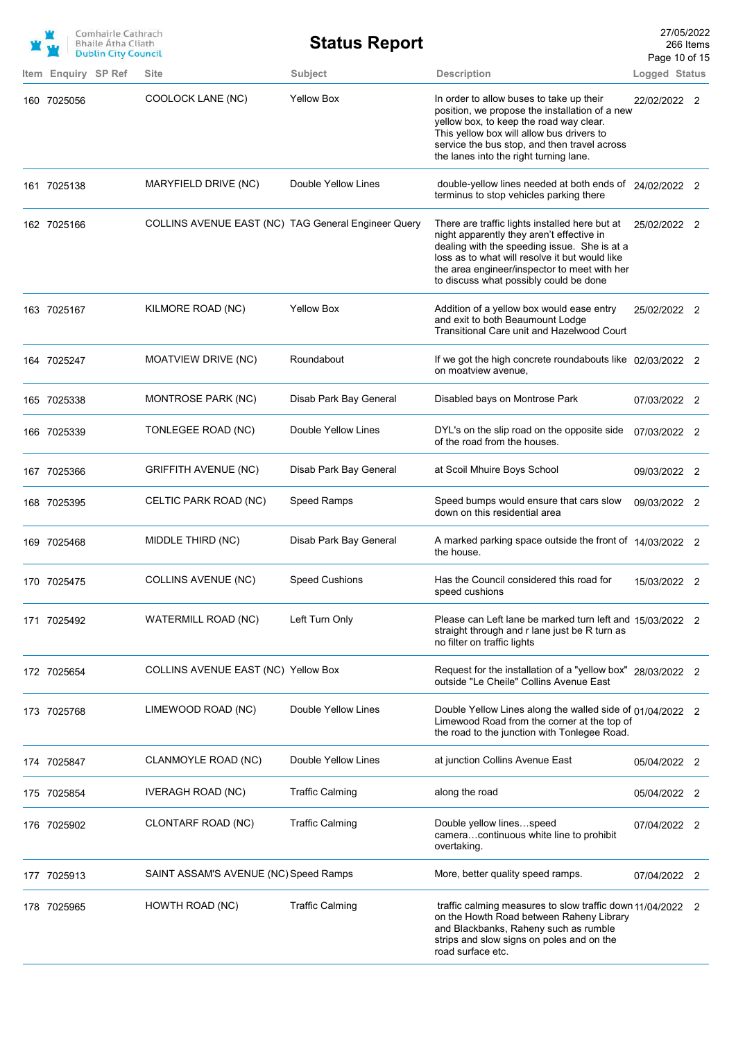|                     | Comhairle Cathrach<br><b>Bhaile Atha Cliath</b><br><b>Dublin City Council</b> |                                                     | <b>Status Report</b>   |                                                                                                                                                                                                                                                                                         | 27/05/2022<br>266 Items<br>Page 10 of 15 |  |
|---------------------|-------------------------------------------------------------------------------|-----------------------------------------------------|------------------------|-----------------------------------------------------------------------------------------------------------------------------------------------------------------------------------------------------------------------------------------------------------------------------------------|------------------------------------------|--|
| Item Enquiry SP Ref |                                                                               | <b>Site</b>                                         | Subject                | <b>Description</b>                                                                                                                                                                                                                                                                      | Logged Status                            |  |
| 160 7025056         |                                                                               | COOLOCK LANE (NC)                                   | <b>Yellow Box</b>      | In order to allow buses to take up their<br>position, we propose the installation of a new<br>yellow box, to keep the road way clear.<br>This yellow box will allow bus drivers to<br>service the bus stop, and then travel across<br>the lanes into the right turning lane.            | 22/02/2022 2                             |  |
| 161 7025138         |                                                                               | MARYFIELD DRIVE (NC)                                | Double Yellow Lines    | double-yellow lines needed at both ends of 24/02/2022 2<br>terminus to stop vehicles parking there                                                                                                                                                                                      |                                          |  |
| 162 7025166         |                                                                               | COLLINS AVENUE EAST (NC) TAG General Engineer Query |                        | There are traffic lights installed here but at<br>night apparently they aren't effective in<br>dealing with the speeding issue. She is at a<br>loss as to what will resolve it but would like<br>the area engineer/inspector to meet with her<br>to discuss what possibly could be done | 25/02/2022 2                             |  |
| 163 7025167         |                                                                               | KILMORE ROAD (NC)                                   | <b>Yellow Box</b>      | Addition of a yellow box would ease entry<br>and exit to both Beaumount Lodge<br>Transitional Care unit and Hazelwood Court                                                                                                                                                             | 25/02/2022 2                             |  |
| 164 7025247         |                                                                               | MOATVIEW DRIVE (NC)                                 | Roundabout             | If we got the high concrete roundabouts like 02/03/2022 2<br>on moatview avenue,                                                                                                                                                                                                        |                                          |  |
| 165 7025338         |                                                                               | MONTROSE PARK (NC)                                  | Disab Park Bay General | Disabled bays on Montrose Park                                                                                                                                                                                                                                                          | 07/03/2022 2                             |  |
| 166 7025339         |                                                                               | TONLEGEE ROAD (NC)                                  | Double Yellow Lines    | DYL's on the slip road on the opposite side<br>of the road from the houses.                                                                                                                                                                                                             | 07/03/2022 2                             |  |
| 167 7025366         |                                                                               | <b>GRIFFITH AVENUE (NC)</b>                         | Disab Park Bay General | at Scoil Mhuire Boys School                                                                                                                                                                                                                                                             | 09/03/2022 2                             |  |
| 168 7025395         |                                                                               | CELTIC PARK ROAD (NC)                               | Speed Ramps            | Speed bumps would ensure that cars slow<br>down on this residential area                                                                                                                                                                                                                | 09/03/2022 2                             |  |
| 169 7025468         |                                                                               | MIDDLE THIRD (NC)                                   | Disab Park Bay General | A marked parking space outside the front of 14/03/2022 2<br>the house.                                                                                                                                                                                                                  |                                          |  |
| 170 7025475         |                                                                               | COLLINS AVENUE (NC)                                 | Speed Cushions         | Has the Council considered this road for<br>speed cushions                                                                                                                                                                                                                              | 15/03/2022 2                             |  |
| 171 7025492         |                                                                               | <b>WATERMILL ROAD (NC)</b>                          | Left Turn Only         | Please can Left lane be marked turn left and 15/03/2022 2<br>straight through and r lane just be R turn as<br>no filter on traffic lights                                                                                                                                               |                                          |  |
| 172 7025654         |                                                                               | COLLINS AVENUE EAST (NC) Yellow Box                 |                        | Request for the installation of a "yellow box" 28/03/2022 2<br>outside "Le Cheile" Collins Avenue East                                                                                                                                                                                  |                                          |  |
| 173 7025768         |                                                                               | LIMEWOOD ROAD (NC)                                  | Double Yellow Lines    | Double Yellow Lines along the walled side of 01/04/2022 2<br>Limewood Road from the corner at the top of<br>the road to the junction with Tonlegee Road.                                                                                                                                |                                          |  |
| 174 7025847         |                                                                               | CLANMOYLE ROAD (NC)                                 | Double Yellow Lines    | at junction Collins Avenue East                                                                                                                                                                                                                                                         | 05/04/2022 2                             |  |
| 175 7025854         |                                                                               | <b>IVERAGH ROAD (NC)</b>                            | <b>Traffic Calming</b> | along the road                                                                                                                                                                                                                                                                          | 05/04/2022 2                             |  |
| 176 7025902         |                                                                               | CLONTARF ROAD (NC)                                  | <b>Traffic Calming</b> | Double yellow linesspeed<br>cameracontinuous white line to prohibit<br>overtaking.                                                                                                                                                                                                      | 07/04/2022 2                             |  |
| 177 7025913         |                                                                               | SAINT ASSAM'S AVENUE (NC) Speed Ramps               |                        | More, better quality speed ramps.                                                                                                                                                                                                                                                       | 07/04/2022 2                             |  |
| 178 7025965         |                                                                               | HOWTH ROAD (NC)                                     | <b>Traffic Calming</b> | traffic calming measures to slow traffic down 11/04/2022 2<br>on the Howth Road between Raheny Library<br>and Blackbanks, Raheny such as rumble<br>strips and slow signs on poles and on the<br>road surface etc.                                                                       |                                          |  |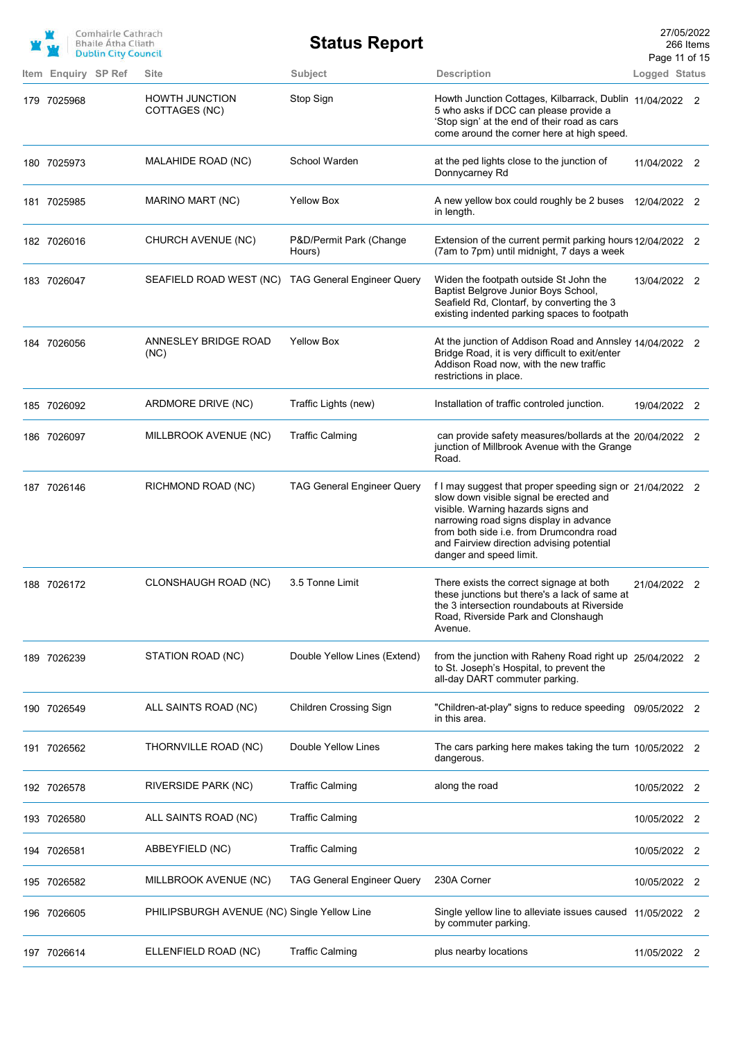|                     | Comhairle Cathrach<br><b>Bhaile Atha Cliath</b><br><b>Dublin City Council</b> |                                                    | <b>Status Report</b>              |                                                                                                                                                                                                                                                                                                           | 27/05/2022<br>Page 11 of 15 | 266 Items |
|---------------------|-------------------------------------------------------------------------------|----------------------------------------------------|-----------------------------------|-----------------------------------------------------------------------------------------------------------------------------------------------------------------------------------------------------------------------------------------------------------------------------------------------------------|-----------------------------|-----------|
| Item Enquiry SP Ref |                                                                               | <b>Site</b>                                        | Subject                           | <b>Description</b>                                                                                                                                                                                                                                                                                        | Logged Status               |           |
| 179 7025968         |                                                                               | <b>HOWTH JUNCTION</b><br>COTTAGES (NC)             | Stop Sign                         | Howth Junction Cottages, Kilbarrack, Dublin 11/04/2022 2<br>5 who asks if DCC can please provide a<br>'Stop sign' at the end of their road as cars<br>come around the corner here at high speed.                                                                                                          |                             |           |
| 180 7025973         |                                                                               | MALAHIDE ROAD (NC)                                 | School Warden                     | at the ped lights close to the junction of<br>Donnycarney Rd                                                                                                                                                                                                                                              | 11/04/2022 2                |           |
| 181 7025985         |                                                                               | MARINO MART (NC)                                   | <b>Yellow Box</b>                 | A new yellow box could roughly be 2 buses 12/04/2022 2<br>in length.                                                                                                                                                                                                                                      |                             |           |
| 182 7026016         |                                                                               | CHURCH AVENUE (NC)                                 | P&D/Permit Park (Change<br>Hours) | Extension of the current permit parking hours 12/04/2022 2<br>(7am to 7pm) until midnight, 7 days a week                                                                                                                                                                                                  |                             |           |
| 183 7026047         |                                                                               | SEAFIELD ROAD WEST (NC) TAG General Engineer Query |                                   | Widen the footpath outside St John the<br>Baptist Belgrove Junior Boys School,<br>Seafield Rd, Clontarf, by converting the 3<br>existing indented parking spaces to footpath                                                                                                                              | 13/04/2022 2                |           |
| 184 7026056         |                                                                               | ANNESLEY BRIDGE ROAD<br>(NC)                       | <b>Yellow Box</b>                 | At the junction of Addison Road and Annsley 14/04/2022 2<br>Bridge Road, it is very difficult to exit/enter<br>Addison Road now, with the new traffic<br>restrictions in place.                                                                                                                           |                             |           |
| 185 7026092         |                                                                               | ARDMORE DRIVE (NC)                                 | Traffic Lights (new)              | Installation of traffic controled junction.                                                                                                                                                                                                                                                               | 19/04/2022 2                |           |
| 186 7026097         |                                                                               | MILLBROOK AVENUE (NC)                              | <b>Traffic Calming</b>            | can provide safety measures/bollards at the 20/04/2022 2<br>junction of Millbrook Avenue with the Grange<br>Road.                                                                                                                                                                                         |                             |           |
| 187 7026146         |                                                                               | RICHMOND ROAD (NC)                                 | <b>TAG General Engineer Query</b> | f I may suggest that proper speeding sign or 21/04/2022 2<br>slow down visible signal be erected and<br>visible. Warning hazards signs and<br>narrowing road signs display in advance<br>from both side i.e. from Drumcondra road<br>and Fairview direction advising potential<br>danger and speed limit. |                             |           |
| 188 7026172         |                                                                               | CLONSHAUGH ROAD (NC)                               | 3.5 Tonne Limit                   | There exists the correct signage at both<br>these junctions but there's a lack of same at<br>the 3 intersection roundabouts at Riverside<br>Road, Riverside Park and Clonshaugh<br>Avenue.                                                                                                                | 21/04/2022 2                |           |
| 189 7026239         |                                                                               | STATION ROAD (NC)                                  | Double Yellow Lines (Extend)      | from the junction with Raheny Road right up 25/04/2022 2<br>to St. Joseph's Hospital, to prevent the<br>all-day DART commuter parking.                                                                                                                                                                    |                             |           |
| 190 7026549         |                                                                               | ALL SAINTS ROAD (NC)                               | <b>Children Crossing Sign</b>     | "Children-at-play" signs to reduce speeding<br>in this area.                                                                                                                                                                                                                                              | 09/05/2022 2                |           |
| 191 7026562         |                                                                               | THORNVILLE ROAD (NC)                               | Double Yellow Lines               | The cars parking here makes taking the turn 10/05/2022 2<br>dangerous.                                                                                                                                                                                                                                    |                             |           |
| 192 7026578         |                                                                               | RIVERSIDE PARK (NC)                                | <b>Traffic Calming</b>            | along the road                                                                                                                                                                                                                                                                                            | 10/05/2022 2                |           |
| 193 7026580         |                                                                               | ALL SAINTS ROAD (NC)                               | <b>Traffic Calming</b>            |                                                                                                                                                                                                                                                                                                           | 10/05/2022 2                |           |
| 194 7026581         |                                                                               | ABBEYFIELD (NC)                                    | <b>Traffic Calming</b>            |                                                                                                                                                                                                                                                                                                           | 10/05/2022 2                |           |
| 195 7026582         |                                                                               | MILLBROOK AVENUE (NC)                              | <b>TAG General Engineer Query</b> | 230A Corner                                                                                                                                                                                                                                                                                               | 10/05/2022 2                |           |
| 196 7026605         |                                                                               | PHILIPSBURGH AVENUE (NC) Single Yellow Line        |                                   | Single yellow line to alleviate issues caused 11/05/2022 2<br>by commuter parking.                                                                                                                                                                                                                        |                             |           |
| 197 7026614         |                                                                               | ELLENFIELD ROAD (NC)                               | <b>Traffic Calming</b>            | plus nearby locations                                                                                                                                                                                                                                                                                     | 11/05/2022 2                |           |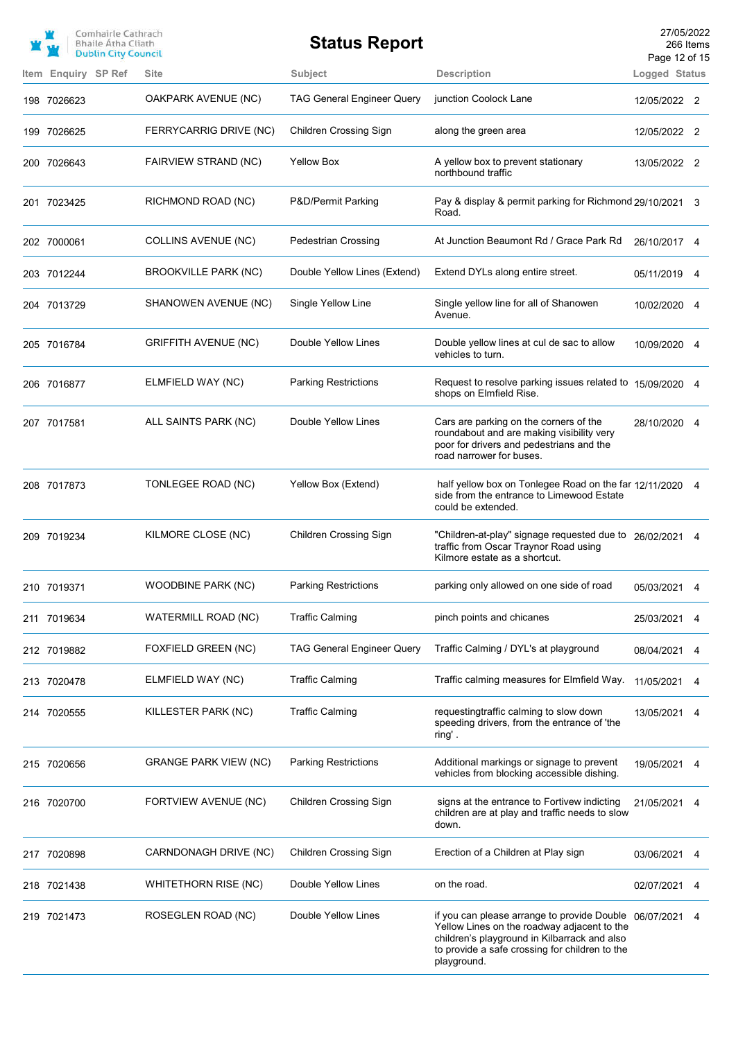|             | Comhairle Cathrach<br><b>Bhaile Atha Cliath</b><br><b>Dublin City Council</b> |                              | <b>Status Report</b>              |                                                                                                                                                                                                                        | 27/05/2022<br>Page 12 of 15 | 266 Items |
|-------------|-------------------------------------------------------------------------------|------------------------------|-----------------------------------|------------------------------------------------------------------------------------------------------------------------------------------------------------------------------------------------------------------------|-----------------------------|-----------|
|             | Item Enquiry SP Ref                                                           | <b>Site</b>                  | <b>Subject</b>                    | <b>Description</b>                                                                                                                                                                                                     | Logged Status               |           |
| 198 7026623 |                                                                               | OAKPARK AVENUE (NC)          | <b>TAG General Engineer Query</b> | junction Coolock Lane                                                                                                                                                                                                  | 12/05/2022 2                |           |
| 199 7026625 |                                                                               | FERRYCARRIG DRIVE (NC)       | Children Crossing Sign            | along the green area                                                                                                                                                                                                   | 12/05/2022 2                |           |
| 200 7026643 |                                                                               | FAIRVIEW STRAND (NC)         | <b>Yellow Box</b>                 | A yellow box to prevent stationary<br>northbound traffic                                                                                                                                                               | 13/05/2022 2                |           |
| 201 7023425 |                                                                               | RICHMOND ROAD (NC)           | P&D/Permit Parking                | Pay & display & permit parking for Richmond 29/10/2021 3<br>Road.                                                                                                                                                      |                             |           |
| 202 7000061 |                                                                               | <b>COLLINS AVENUE (NC)</b>   | <b>Pedestrian Crossing</b>        | At Junction Beaumont Rd / Grace Park Rd                                                                                                                                                                                | 26/10/2017 4                |           |
| 203 7012244 |                                                                               | <b>BROOKVILLE PARK (NC)</b>  | Double Yellow Lines (Extend)      | Extend DYLs along entire street.                                                                                                                                                                                       | 05/11/2019                  |           |
| 204 7013729 |                                                                               | SHANOWEN AVENUE (NC)         | Single Yellow Line                | Single yellow line for all of Shanowen<br>Avenue.                                                                                                                                                                      | 10/02/2020 4                |           |
| 205 7016784 |                                                                               | <b>GRIFFITH AVENUE (NC)</b>  | Double Yellow Lines               | Double yellow lines at cul de sac to allow<br>vehicles to turn.                                                                                                                                                        | 10/09/2020 4                |           |
| 206 7016877 |                                                                               | ELMFIELD WAY (NC)            | <b>Parking Restrictions</b>       | Request to resolve parking issues related to 15/09/2020 4<br>shops on Elmfield Rise.                                                                                                                                   |                             |           |
| 207 7017581 |                                                                               | ALL SAINTS PARK (NC)         | Double Yellow Lines               | Cars are parking on the corners of the<br>roundabout and are making visibility very<br>poor for drivers and pedestrians and the<br>road narrower for buses.                                                            | 28/10/2020 4                |           |
| 208 7017873 |                                                                               | TONLEGEE ROAD (NC)           | Yellow Box (Extend)               | half yellow box on Tonlegee Road on the far 12/11/2020 4<br>side from the entrance to Limewood Estate<br>could be extended.                                                                                            |                             |           |
| 209 7019234 |                                                                               | KILMORE CLOSE (NC)           | <b>Children Crossing Sign</b>     | "Children-at-play" signage requested due to 26/02/2021 4<br>traffic from Oscar Traynor Road using<br>Kilmore estate as a shortcut.                                                                                     |                             |           |
| 210 7019371 |                                                                               | <b>WOODBINE PARK (NC)</b>    | <b>Parking Restrictions</b>       | parking only allowed on one side of road                                                                                                                                                                               | 05/03/2021 4                |           |
| 211 7019634 |                                                                               | WATERMILL ROAD (NC)          | <b>Traffic Calming</b>            | pinch points and chicanes                                                                                                                                                                                              | 25/03/2021                  | 4         |
| 212 7019882 |                                                                               | FOXFIELD GREEN (NC)          | <b>TAG General Engineer Query</b> | Traffic Calming / DYL's at playground                                                                                                                                                                                  | 08/04/2021                  | 4         |
| 213 7020478 |                                                                               | ELMFIELD WAY (NC)            | <b>Traffic Calming</b>            | Traffic calming measures for Elmfield Way.                                                                                                                                                                             | 11/05/2021                  |           |
| 214 7020555 |                                                                               | KILLESTER PARK (NC)          | <b>Traffic Calming</b>            | requestingtraffic calming to slow down<br>speeding drivers, from the entrance of 'the<br>ring'.                                                                                                                        | 13/05/2021                  | 4         |
| 215 7020656 |                                                                               | <b>GRANGE PARK VIEW (NC)</b> | <b>Parking Restrictions</b>       | Additional markings or signage to prevent<br>vehicles from blocking accessible dishing.                                                                                                                                | 19/05/2021                  | 4         |
| 216 7020700 |                                                                               | FORTVIEW AVENUE (NC)         | <b>Children Crossing Sign</b>     | signs at the entrance to Fortivew indicting<br>children are at play and traffic needs to slow<br>down.                                                                                                                 | 21/05/2021                  |           |
| 217 7020898 |                                                                               | CARNDONAGH DRIVE (NC)        | Children Crossing Sign            | Erection of a Children at Play sign                                                                                                                                                                                    | 03/06/2021                  |           |
| 218 7021438 |                                                                               | <b>WHITETHORN RISE (NC)</b>  | Double Yellow Lines               | on the road.                                                                                                                                                                                                           | 02/07/2021                  | 4         |
| 219 7021473 |                                                                               | ROSEGLEN ROAD (NC)           | Double Yellow Lines               | if you can please arrange to provide Double 06/07/2021<br>Yellow Lines on the roadway adjacent to the<br>children's playground in Kilbarrack and also<br>to provide a safe crossing for children to the<br>playground. |                             | 4         |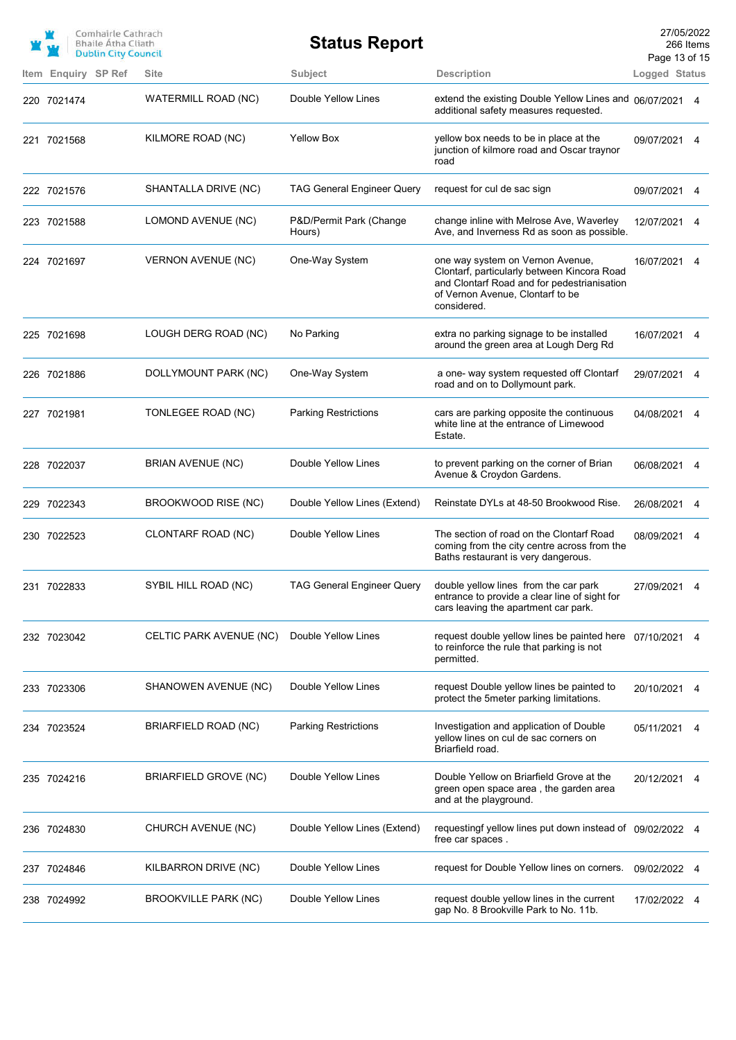|                     | Comhairle Cathrach<br><b>Bhaile Atha Cliath</b><br><b>Dublin City Council</b> |                           | <b>Status Report</b>              |                                                                                                                                                                                   | 27/05/2022<br>266 Items<br>Page 13 of 15 |   |
|---------------------|-------------------------------------------------------------------------------|---------------------------|-----------------------------------|-----------------------------------------------------------------------------------------------------------------------------------------------------------------------------------|------------------------------------------|---|
| Item Enquiry SP Ref |                                                                               | <b>Site</b>               | Subject                           | <b>Description</b>                                                                                                                                                                | Logged Status                            |   |
| 220 7021474         |                                                                               | WATERMILL ROAD (NC)       | Double Yellow Lines               | extend the existing Double Yellow Lines and 06/07/2021 4<br>additional safety measures requested.                                                                                 |                                          |   |
| 221 7021568         |                                                                               | KILMORE ROAD (NC)         | <b>Yellow Box</b>                 | yellow box needs to be in place at the<br>junction of kilmore road and Oscar traynor<br>road                                                                                      | 09/07/2021                               | 4 |
| 222 7021576         |                                                                               | SHANTALLA DRIVE (NC)      | <b>TAG General Engineer Query</b> | request for cul de sac sign                                                                                                                                                       | 09/07/2021                               | 4 |
| 223 7021588         |                                                                               | LOMOND AVENUE (NC)        | P&D/Permit Park (Change<br>Hours) | change inline with Melrose Ave, Waverley<br>Ave, and Inverness Rd as soon as possible.                                                                                            | 12/07/2021                               | 4 |
| 224 7021697         |                                                                               | <b>VERNON AVENUE (NC)</b> | One-Way System                    | one way system on Vernon Avenue,<br>Clontarf, particularly between Kincora Road<br>and Clontarf Road and for pedestrianisation<br>of Vernon Avenue, Clontarf to be<br>considered. | 16/07/2021                               |   |
| 225 7021698         |                                                                               | LOUGH DERG ROAD (NC)      | No Parking                        | extra no parking signage to be installed<br>around the green area at Lough Derg Rd                                                                                                | 16/07/2021 4                             |   |
| 226 7021886         |                                                                               | DOLLYMOUNT PARK (NC)      | One-Way System                    | a one- way system requested off Clontarf<br>road and on to Dollymount park.                                                                                                       | 29/07/2021                               |   |
| 227 7021981         |                                                                               | TONLEGEE ROAD (NC)        | <b>Parking Restrictions</b>       | cars are parking opposite the continuous<br>white line at the entrance of Limewood<br>Estate.                                                                                     | 04/08/2021 4                             |   |
| 228 7022037         |                                                                               | BRIAN AVENUE (NC)         | Double Yellow Lines               | to prevent parking on the corner of Brian<br>Avenue & Croydon Gardens.                                                                                                            | 06/08/2021                               | 4 |
| 229 7022343         |                                                                               | BROOKWOOD RISE (NC)       | Double Yellow Lines (Extend)      | Reinstate DYLs at 48-50 Brookwood Rise.                                                                                                                                           | 26/08/2021                               |   |
| 230 7022523         |                                                                               | CLONTARF ROAD (NC)        | Double Yellow Lines               | The section of road on the Clontarf Road<br>coming from the city centre across from the<br>Baths restaurant is very dangerous.                                                    | 08/09/2021                               |   |
| 231 7022833         |                                                                               | SYBIL HILL ROAD (NC)      | TAG General Engineer Query        | double yellow lines from the car park<br>entrance to provide a clear line of sight for<br>cars leaving the apartment car park.                                                    | 27/09/2021 4                             |   |
| 232 7023042         |                                                                               | CELTIC PARK AVENUE (NC)   | Double Yellow Lines               | request double yellow lines be painted here 07/10/2021<br>to reinforce the rule that parking is not<br>permitted.                                                                 |                                          |   |
| 233 7023306         |                                                                               | SHANOWEN AVENUE (NC)      | Double Yellow Lines               | request Double yellow lines be painted to<br>protect the 5meter parking limitations.                                                                                              | 20/10/2021                               | 4 |
| 234 7023524         |                                                                               | BRIARFIELD ROAD (NC)      | <b>Parking Restrictions</b>       | Investigation and application of Double<br>yellow lines on cul de sac corners on<br>Briarfield road.                                                                              | 05/11/2021 4                             |   |
| 235 7024216         |                                                                               | BRIARFIELD GROVE (NC)     | Double Yellow Lines               | Double Yellow on Briarfield Grove at the<br>green open space area, the garden area<br>and at the playground.                                                                      | 20/12/2021 4                             |   |
| 236 7024830         |                                                                               | CHURCH AVENUE (NC)        | Double Yellow Lines (Extend)      | requestingf yellow lines put down instead of 09/02/2022 4<br>free car spaces.                                                                                                     |                                          |   |
| 237 7024846         |                                                                               | KILBARRON DRIVE (NC)      | Double Yellow Lines               | request for Double Yellow lines on corners.                                                                                                                                       | 09/02/2022 4                             |   |
| 238 7024992         |                                                                               | BROOKVILLE PARK (NC)      | Double Yellow Lines               | request double yellow lines in the current<br>gap No. 8 Brookville Park to No. 11b.                                                                                               | 17/02/2022 4                             |   |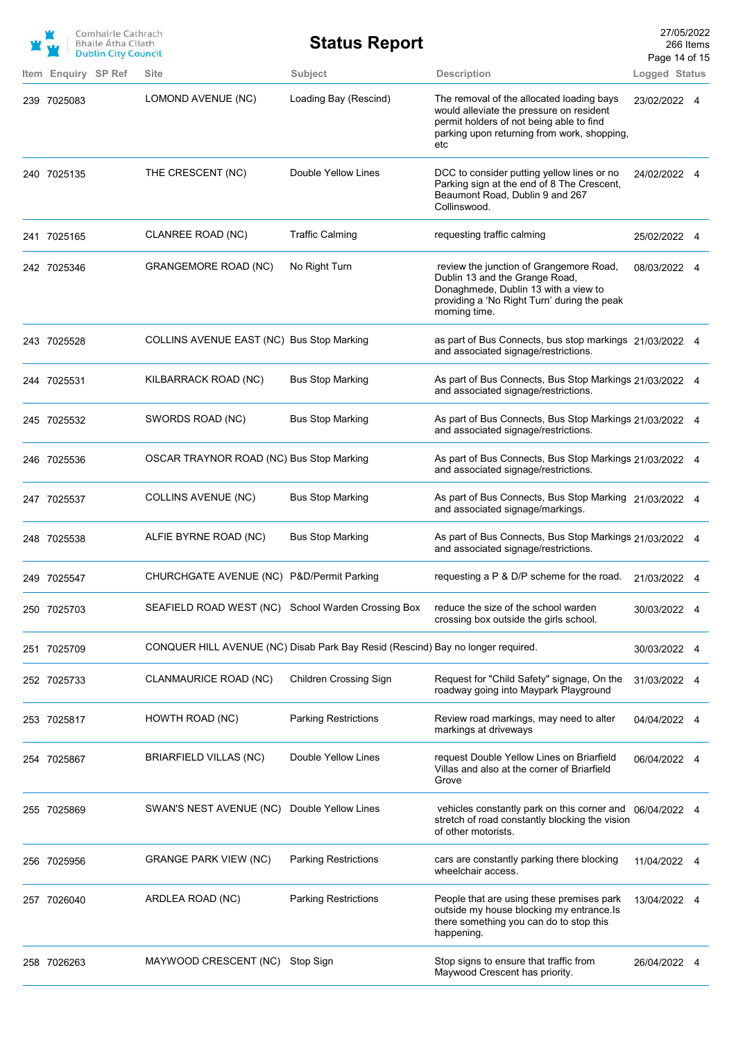|                     | Comhairle Cathrach<br><b>Bhaile Atha Cliath</b><br><b>Dublin City Council</b> |                                                                                 | <b>Status Report</b>          |                                                                                                                                                                                         | 27/05/2022<br>Page 14 of 15 | 266 Items |
|---------------------|-------------------------------------------------------------------------------|---------------------------------------------------------------------------------|-------------------------------|-----------------------------------------------------------------------------------------------------------------------------------------------------------------------------------------|-----------------------------|-----------|
| Item Enquiry SP Ref |                                                                               | <b>Site</b>                                                                     | Subject                       | <b>Description</b>                                                                                                                                                                      | Logged Status               |           |
| 239 7025083         |                                                                               | LOMOND AVENUE (NC)                                                              | Loading Bay (Rescind)         | The removal of the allocated loading bays<br>would alleviate the pressure on resident<br>permit holders of not being able to find<br>parking upon returning from work, shopping,<br>etc | 23/02/2022 4                |           |
| 240 7025135         |                                                                               | THE CRESCENT (NC)                                                               | Double Yellow Lines           | DCC to consider putting yellow lines or no<br>Parking sign at the end of 8 The Crescent,<br>Beaumont Road, Dublin 9 and 267<br>Collinswood.                                             | 24/02/2022 4                |           |
| 241 7025165         |                                                                               | CLANREE ROAD (NC)                                                               | <b>Traffic Calming</b>        | requesting traffic calming                                                                                                                                                              | 25/02/2022 4                |           |
| 242 7025346         |                                                                               | <b>GRANGEMORE ROAD (NC)</b>                                                     | No Right Turn                 | review the junction of Grangemore Road,<br>Dublin 13 and the Grange Road,<br>Donaghmede, Dublin 13 with a view to<br>providing a 'No Right Turn' during the peak<br>morning time.       | 08/03/2022 4                |           |
| 243 7025528         |                                                                               | COLLINS AVENUE EAST (NC) Bus Stop Marking                                       |                               | as part of Bus Connects, bus stop markings 21/03/2022 4<br>and associated signage/restrictions.                                                                                         |                             |           |
| 244 7025531         |                                                                               | KILBARRACK ROAD (NC)                                                            | <b>Bus Stop Marking</b>       | As part of Bus Connects, Bus Stop Markings 21/03/2022 4<br>and associated signage/restrictions.                                                                                         |                             |           |
| 245 7025532         |                                                                               | SWORDS ROAD (NC)                                                                | <b>Bus Stop Marking</b>       | As part of Bus Connects, Bus Stop Markings 21/03/2022 4<br>and associated signage/restrictions.                                                                                         |                             |           |
| 246 7025536         |                                                                               | OSCAR TRAYNOR ROAD (NC) Bus Stop Marking                                        |                               | As part of Bus Connects, Bus Stop Markings 21/03/2022 4<br>and associated signage/restrictions.                                                                                         |                             |           |
| 247 7025537         |                                                                               | <b>COLLINS AVENUE (NC)</b>                                                      | <b>Bus Stop Marking</b>       | As part of Bus Connects, Bus Stop Marking 21/03/2022 4<br>and associated signage/markings.                                                                                              |                             |           |
| 248 7025538         |                                                                               | ALFIE BYRNE ROAD (NC)                                                           | <b>Bus Stop Marking</b>       | As part of Bus Connects, Bus Stop Markings 21/03/2022 4<br>and associated signage/restrictions.                                                                                         |                             |           |
| 249 7025547         |                                                                               | CHURCHGATE AVENUE (NC) P&D/Permit Parking                                       |                               | requesting a $P \& D/P$ scheme for the road.                                                                                                                                            | 21/03/2022                  | - 4       |
| 250 7025703         |                                                                               | SEAFIELD ROAD WEST (NC) School Warden Crossing Box                              |                               | reduce the size of the school warden<br>crossing box outside the girls school.                                                                                                          | 30/03/2022 4                |           |
| 251 7025709         |                                                                               | CONQUER HILL AVENUE (NC) Disab Park Bay Resid (Rescind) Bay no longer required. |                               |                                                                                                                                                                                         | 30/03/2022 4                |           |
| 252 7025733         |                                                                               | CLANMAURICE ROAD (NC)                                                           | <b>Children Crossing Sign</b> | Request for "Child Safety" signage, On the<br>roadway going into Maypark Playground                                                                                                     | 31/03/2022 4                |           |
| 253 7025817         |                                                                               | HOWTH ROAD (NC)                                                                 | <b>Parking Restrictions</b>   | Review road markings, may need to alter<br>markings at driveways                                                                                                                        | 04/04/2022 4                |           |
| 254 7025867         |                                                                               | BRIARFIELD VILLAS (NC)                                                          | Double Yellow Lines           | request Double Yellow Lines on Briarfield<br>Villas and also at the corner of Briarfield<br>Grove                                                                                       | 06/04/2022                  |           |
| 255 7025869         |                                                                               | SWAN'S NEST AVENUE (NC)                                                         | Double Yellow Lines           | vehicles constantly park on this corner and<br>stretch of road constantly blocking the vision<br>of other motorists.                                                                    | 06/04/2022 4                |           |
| 256 7025956         |                                                                               | <b>GRANGE PARK VIEW (NC)</b>                                                    | <b>Parking Restrictions</b>   | cars are constantly parking there blocking<br>wheelchair access.                                                                                                                        | 11/04/2022                  |           |
| 257 7026040         |                                                                               | ARDLEA ROAD (NC)                                                                | <b>Parking Restrictions</b>   | People that are using these premises park<br>outside my house blocking my entrance. Is<br>there something you can do to stop this<br>happening.                                         | 13/04/2022 4                |           |
| 258 7026263         |                                                                               | MAYWOOD CRESCENT (NC)                                                           | Stop Sign                     | Stop signs to ensure that traffic from<br>Maywood Crescent has priority.                                                                                                                | 26/04/2022 4                |           |